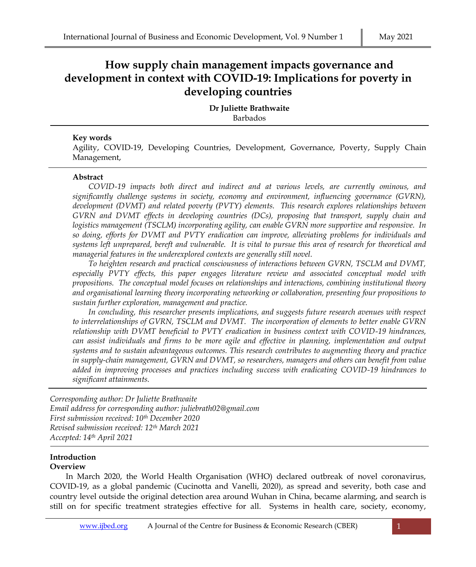# **How supply chain management impacts governance and development in context with COVID-19: Implications for poverty in developing countries**

**Dr Juliette Brathwaite** Barbados

## **Key words**

Agility, COVID-19, Developing Countries, Development, Governance, Poverty, Supply Chain Management,

#### **Abstract**

*COVID-19 impacts both direct and indirect and at various levels, are currently ominous, and significantly challenge systems in society, economy and environment, influencing governance (GVRN), development (DVMT) and related poverty (PVTY) elements. This research explores relationships between GVRN and DVMT effects in developing countries (DCs), proposing that transport, supply chain and*  logistics management (TSCLM) incorporating agility, can enable GVRN more supportive and responsive. In *so doing, efforts for DVMT and PVTY eradication can improve, alleviating problems for individuals and systems left unprepared, bereft and vulnerable. It is vital to pursue this area of research for theoretical and managerial features in the underexplored contexts are generally still novel.* 

*To heighten research and practical consciousness of interactions between GVRN, TSCLM and DVMT, especially PVTY effects, this paper engages literature review and associated conceptual model with propositions. The conceptual model focuses on relationships and interactions, combining institutional theory and organisational learning theory incorporating networking or collaboration, presenting four propositions to sustain further exploration, management and practice.* 

*In concluding, this researcher presents implications, and suggests future research avenues with respect to interrelationships of GVRN, TSCLM and DVMT. The incorporation of elements to better enable GVRN relationship with DVMT beneficial to PVTY eradication in business context with COVID-19 hindrances, can assist individuals and firms to be more agile and effective in planning, implementation and output systems and to sustain advantageous outcomes. This research contributes to augmenting theory and practice in supply-chain management, GVRN and DVMT, so researchers, managers and others can benefit from value added in improving processes and practices including success with eradicating COVID-19 hindrances to significant attainments.* 

*Corresponding author: Dr Juliette Brathwaite Email address for corresponding author: juliebrath02@gmail.com First submission received: 10th December 2020 Revised submission received: 12th March 2021 Accepted: 14th April 2021*

#### **Introduction Overview**

In March 2020, the World Health Organisation (WHO) declared outbreak of novel coronavirus, COVID-19, as a global pandemic (Cucinotta and Vanelli, 2020), as spread and severity, both case and country level outside the original detection area around Wuhan in China, became alarming, and search is still on for specific treatment strategies effective for all. Systems in health care, society, economy,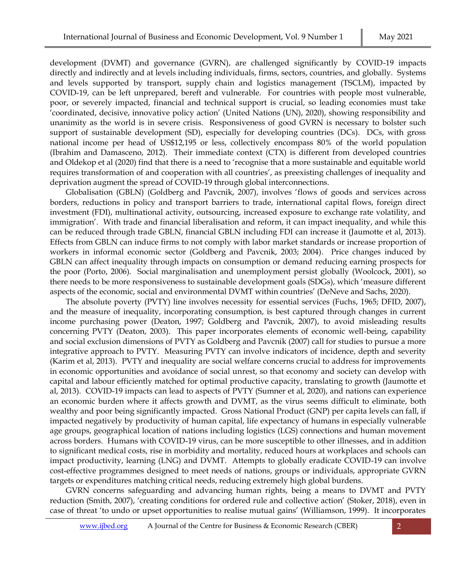development (DVMT) and governance (GVRN), are challenged significantly by COVID-19 impacts directly and indirectly and at levels including individuals, firms, sectors, countries, and globally. Systems and levels supported by transport, supply chain and logistics management (TSCLM), impacted by COVID-19, can be left unprepared, bereft and vulnerable. For countries with people most vulnerable, poor, or severely impacted, financial and technical support is crucial, so leading economies must take 'coordinated, decisive, innovative policy action' (United Nations (UN), 2020), showing responsibility and unanimity as the world is in severe crisis. Responsiveness of good GVRN is necessary to bolster such support of sustainable development (SD), especially for developing countries (DCs). DCs, with gross national income per head of US\$12,195 or less, collectively encompass 80% of the world population (Ibrahim and Damasceno, 2012). Their immediate context (CTX) is different from developed countries and Oldekop et al (2020) find that there is a need to 'recognise that a more sustainable and equitable world requires transformation of and cooperation with all countries', as preexisting challenges of inequality and deprivation augment the spread of COVID-19 through global interconnections.

Globalisation (GBLN) (Goldberg and Pavcnik, 2007), involves 'flows of goods and services across borders, reductions in policy and transport barriers to trade, international capital flows, foreign direct investment (FDI), multinational activity, outsourcing, increased exposure to exchange rate volatility, and immigration'. With trade and financial liberalisation and reform, it can impact inequality, and while this can be reduced through trade GBLN, financial GBLN including FDI can increase it (Jaumotte et al, 2013). Effects from GBLN can induce firms to not comply with labor market standards or increase proportion of workers in informal economic sector (Goldberg and Pavcnik, 2003; 2004). Price changes induced by GBLN can affect inequality through impacts on consumption or demand reducing earning prospects for the poor (Porto, 2006). Social marginalisation and unemployment persist globally (Woolcock, 2001), so there needs to be more responsiveness to sustainable development goals (SDGs), which 'measure different aspects of the economic, social and environmental DVMT within countries' (DeNeve and Sachs, 2020).

The absolute poverty (PVTY) line involves necessity for essential services (Fuchs, 1965; DFID, 2007), and the measure of inequality, incorporating consumption, is best captured through changes in current income purchasing power (Deaton, 1997; Goldberg and Pavcnik, 2007), to avoid misleading results concerning PVTY (Deaton, 2003). This paper incorporates elements of economic well-being, capability and social exclusion dimensions of PVTY as Goldberg and Pavcnik (2007) call for studies to pursue a more integrative approach to PVTY. Measuring PVTY can involve indicators of incidence, depth and severity (Karim et al, 2013). PVTY and inequality are social welfare concerns crucial to address for improvements in economic opportunities and avoidance of social unrest, so that economy and society can develop with capital and labour efficiently matched for optimal productive capacity, translating to growth (Jaumotte et al, 2013). COVID-19 impacts can lead to aspects of PVTY (Sumner et al, 2020), and nations can experience an economic burden where it affects growth and DVMT, as the virus seems difficult to eliminate, both wealthy and poor being significantly impacted. Gross National Product (GNP) per capita levels can fall, if impacted negatively by productivity of human capital, life expectancy of humans in especially vulnerable age groups, geographical location of nations including logistics (LGS) connections and human movement across borders. Humans with COVID-19 virus, can be more susceptible to other illnesses, and in addition to significant medical costs, rise in morbidity and mortality, reduced hours at workplaces and schools can impact productivity, learning (LNG) and DVMT. Attempts to globally eradicate COVID-19 can involve cost-effective programmes designed to meet needs of nations, groups or individuals, appropriate GVRN targets or expenditures matching critical needs, reducing extremely high global burdens.

GVRN concerns safeguarding and advancing human rights, being a means to DVMT and PVTY reduction (Smith, 2007), 'creating conditions for ordered rule and collective action' (Stoker, 2018), even in case of threat 'to undo or upset opportunities to realise mutual gains' (Williamson, 1999). It incorporates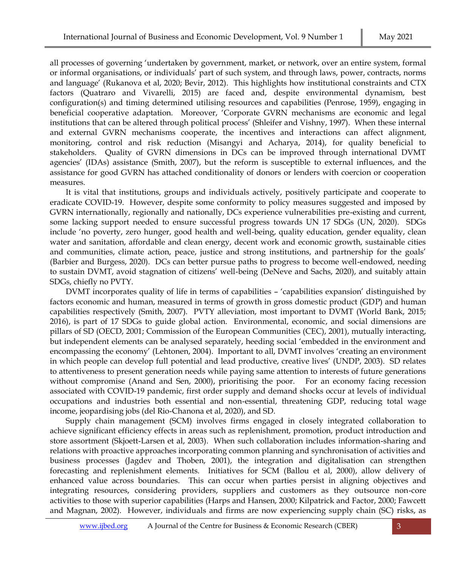all processes of governing 'undertaken by government, market, or network, over an entire system, formal or informal organisations, or individuals' part of such system, and through laws, power, contracts, norms and language' (Rukanova et al, 2020; Bevir, 2012). This highlights how institutional constraints and CTX factors (Quatraro and Vivarelli, 2015) are faced and, despite environmental dynamism, best configuration(s) and timing determined utilising resources and capabilities (Penrose, 1959), engaging in beneficial cooperative adaptation. Moreover, 'Corporate GVRN mechanisms are economic and legal institutions that can be altered through political process' (Shleifer and Vishny, 1997). When these internal and external GVRN mechanisms cooperate, the incentives and interactions can affect alignment, monitoring, control and risk reduction (Misangyi and Acharya, 2014), for quality beneficial to stakeholders. Quality of GVRN dimensions in DCs can be improved through international DVMT agencies' (IDAs) assistance (Smith, 2007), but the reform is susceptible to external influences, and the assistance for good GVRN has attached conditionality of donors or lenders with coercion or cooperation measures.

It is vital that institutions, groups and individuals actively, positively participate and cooperate to eradicate COVID-19. However, despite some conformity to policy measures suggested and imposed by GVRN internationally, regionally and nationally, DCs experience vulnerabilities pre-existing and current, some lacking support needed to ensure successful progress towards UN 17 SDGs (UN, 2020). SDGs include 'no poverty, zero hunger, good health and well-being, quality education, gender equality, clean water and sanitation, affordable and clean energy, decent work and economic growth, sustainable cities and communities, climate action, peace, justice and strong institutions, and partnership for the goals' (Barbier and Burgess, 2020). DCs can better pursue paths to progress to become well-endowed, needing to sustain DVMT, avoid stagnation of citizens' well-being (DeNeve and Sachs, 2020), and suitably attain SDGs, chiefly no PVTY.

DVMT incorporates quality of life in terms of capabilities – 'capabilities expansion' distinguished by factors economic and human, measured in terms of growth in gross domestic product (GDP) and human capabilities respectively (Smith, 2007). PVTY alleviation, most important to DVMT (World Bank, 2015; 2016), is part of 17 SDGs to guide global action. Environmental, economic, and social dimensions are pillars of SD (OECD, 2001; Commission of the European Communities (CEC), 2001), mutually interacting, but independent elements can be analysed separately, heeding social 'embedded in the environment and encompassing the economy' (Lehtonen, 2004). Important to all, DVMT involves 'creating an environment in which people can develop full potential and lead productive, creative lives' (UNDP, 2003). SD relates to attentiveness to present generation needs while paying same attention to interests of future generations without compromise (Anand and Sen, 2000), prioritising the poor. For an economy facing recession associated with COVID-19 pandemic, first order supply and demand shocks occur at levels of individual occupations and industries both essential and non-essential, threatening GDP, reducing total wage income, jeopardising jobs (del Rio-Chanona et al, 2020), and SD.

Supply chain management (SCM) involves firms engaged in closely integrated collaboration to achieve significant efficiency effects in areas such as replenishment, promotion, product introduction and store assortment (Skjoett-Larsen et al, 2003). When such collaboration includes information-sharing and relations with proactive approaches incorporating common planning and synchronisation of activities and business processes (Jagdev and Thoben, 2001), the integration and digitalisation can strengthen forecasting and replenishment elements. Initiatives for SCM (Ballou et al, 2000), allow delivery of enhanced value across boundaries. This can occur when parties persist in aligning objectives and integrating resources, considering providers, suppliers and customers as they outsource non-core activities to those with superior capabilities (Harps and Hansen, 2000; Kilpatrick and Factor, 2000; Fawcett and Magnan, 2002). However, individuals and firms are now experiencing supply chain (SC) risks, as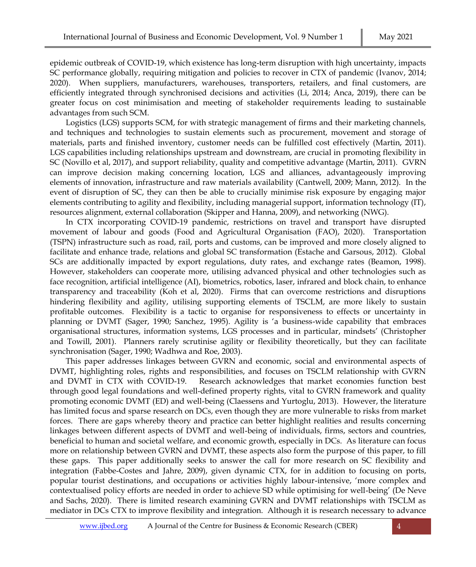epidemic outbreak of COVID-19, which existence has long-term disruption with high uncertainty, impacts SC performance globally, requiring mitigation and policies to recover in CTX of pandemic (Ivanov, 2014; 2020). When suppliers, manufacturers, warehouses, transporters, retailers, and final customers, are efficiently integrated through synchronised decisions and activities (Li, 2014; Anca, 2019), there can be greater focus on cost minimisation and meeting of stakeholder requirements leading to sustainable advantages from such SCM.

Logistics (LGS) supports SCM, for with strategic management of firms and their marketing channels, and techniques and technologies to sustain elements such as procurement, movement and storage of materials, parts and finished inventory, customer needs can be fulfilled cost effectively (Martin, 2011). LGS capabilities including relationships upstream and downstream, are crucial in promoting flexibility in SC (Novillo et al, 2017), and support reliability, quality and competitive advantage (Martin, 2011). GVRN can improve decision making concerning location, LGS and alliances, advantageously improving elements of innovation, infrastructure and raw materials availability (Cantwell, 2009; Mann, 2012). In the event of disruption of SC, they can then be able to crucially minimise risk exposure by engaging major elements contributing to agility and flexibility, including managerial support, information technology (IT), resources alignment, external collaboration (Skipper and Hanna, 2009), and networking (NWG).

In CTX incorporating COVID-19 pandemic, restrictions on travel and transport have disrupted movement of labour and goods (Food and Agricultural Organisation (FAO), 2020). Transportation (TSPN) infrastructure such as road, rail, ports and customs, can be improved and more closely aligned to facilitate and enhance trade, relations and global SC transformation (Estache and Garsous, 2012). Global SCs are additionally impacted by export regulations, duty rates, and exchange rates (Beamon, 1998). However, stakeholders can cooperate more, utilising advanced physical and other technologies such as face recognition, artificial intelligence (AI), biometrics, robotics, laser, infrared and block chain, to enhance transparency and traceability (Koh et al, 2020). Firms that can overcome restrictions and disruptions hindering flexibility and agility, utilising supporting elements of TSCLM, are more likely to sustain profitable outcomes. Flexibility is a tactic to organise for responsiveness to effects or uncertainty in planning or DVMT (Sager, 1990; Sanchez, 1995). Agility is 'a business-wide capability that embraces organisational structures, information systems, LGS processes and in particular, mindsets' (Christopher and Towill, 2001). Planners rarely scrutinise agility or flexibility theoretically, but they can facilitate synchronisation (Sager, 1990; Wadhwa and Roe, 2003).

This paper addresses linkages between GVRN and economic, social and environmental aspects of DVMT, highlighting roles, rights and responsibilities, and focuses on TSCLM relationship with GVRN and DVMT in CTX with COVID-19. Research acknowledges that market economies function best through good legal foundations and well-defined property rights, vital to GVRN framework and quality promoting economic DVMT (ED) and well-being (Claessens and Yurtoglu, 2013). However, the literature has limited focus and sparse research on DCs, even though they are more vulnerable to risks from market forces. There are gaps whereby theory and practice can better highlight realities and results concerning linkages between different aspects of DVMT and well-being of individuals, firms, sectors and countries, beneficial to human and societal welfare, and economic growth, especially in DCs. As literature can focus more on relationship between GVRN and DVMT, these aspects also form the purpose of this paper, to fill these gaps. This paper additionally seeks to answer the call for more research on SC flexibility and integration (Fabbe-Costes and Jahre, 2009), given dynamic CTX, for in addition to focusing on ports, popular tourist destinations, and occupations or activities highly labour-intensive, 'more complex and contextualised policy efforts are needed in order to achieve SD while optimising for well-being' (De Neve and Sachs, 2020). There is limited research examining GVRN and DVMT relationships with TSCLM as mediator in DCs CTX to improve flexibility and integration. Although it is research necessary to advance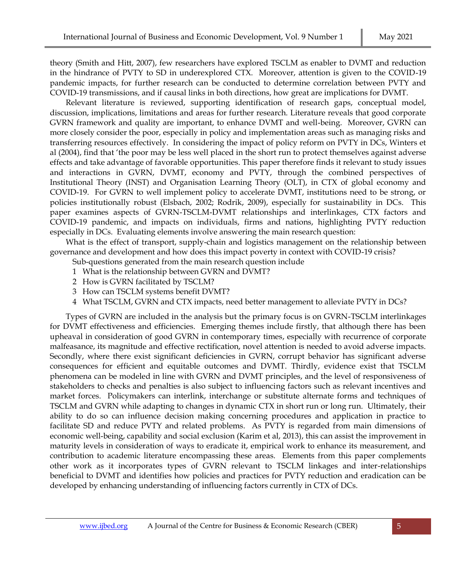theory (Smith and Hitt, 2007), few researchers have explored TSCLM as enabler to DVMT and reduction in the hindrance of PVTY to SD in underexplored CTX. Moreover, attention is given to the COVID-19 pandemic impacts, for further research can be conducted to determine correlation between PVTY and COVID-19 transmissions, and if causal links in both directions, how great are implications for DVMT.

Relevant literature is reviewed, supporting identification of research gaps, conceptual model, discussion, implications, limitations and areas for further research. Literature reveals that good corporate GVRN framework and quality are important, to enhance DVMT and well-being. Moreover, GVRN can more closely consider the poor, especially in policy and implementation areas such as managing risks and transferring resources effectively. In considering the impact of policy reform on PVTY in DCs, Winters et al (2004), find that 'the poor may be less well placed in the short run to protect themselves against adverse effects and take advantage of favorable opportunities. This paper therefore finds it relevant to study issues and interactions in GVRN, DVMT, economy and PVTY, through the combined perspectives of Institutional Theory (INST) and Organisation Learning Theory (OLT), in CTX of global economy and COVID-19. For GVRN to well implement policy to accelerate DVMT, institutions need to be strong, or policies institutionally robust (Elsbach, 2002; Rodrik, 2009), especially for sustainability in DCs. This paper examines aspects of GVRN-TSCLM-DVMT relationships and interlinkages, CTX factors and COVID-19 pandemic, and impacts on individuals, firms and nations, highlighting PVTY reduction especially in DCs. Evaluating elements involve answering the main research question:

What is the effect of transport, supply-chain and logistics management on the relationship between governance and development and how does this impact poverty in context with COVID-19 crisis?

Sub-questions generated from the main research question include

- 1 What is the relationship between GVRN and DVMT?
- 2 How is GVRN facilitated by TSCLM?
- 3 How can TSCLM systems benefit DVMT?
- 4 What TSCLM, GVRN and CTX impacts, need better management to alleviate PVTY in DCs?

Types of GVRN are included in the analysis but the primary focus is on GVRN-TSCLM interlinkages for DVMT effectiveness and efficiencies. Emerging themes include firstly, that although there has been upheaval in consideration of good GVRN in contemporary times, especially with recurrence of corporate malfeasance, its magnitude and effective rectification, novel attention is needed to avoid adverse impacts. Secondly, where there exist significant deficiencies in GVRN, corrupt behavior has significant adverse consequences for efficient and equitable outcomes and DVMT. Thirdly, evidence exist that TSCLM phenomena can be modeled in line with GVRN and DVMT principles, and the level of responsiveness of stakeholders to checks and penalties is also subject to influencing factors such as relevant incentives and market forces. Policymakers can interlink, interchange or substitute alternate forms and techniques of TSCLM and GVRN while adapting to changes in dynamic CTX in short run or long run. Ultimately, their ability to do so can influence decision making concerning procedures and application in practice to facilitate SD and reduce PVTY and related problems. As PVTY is regarded from main dimensions of economic well-being, capability and social exclusion (Karim et al, 2013), this can assist the improvement in maturity levels in consideration of ways to eradicate it, empirical work to enhance its measurement, and contribution to academic literature encompassing these areas. Elements from this paper complements other work as it incorporates types of GVRN relevant to TSCLM linkages and inter-relationships beneficial to DVMT and identifies how policies and practices for PVTY reduction and eradication can be developed by enhancing understanding of influencing factors currently in CTX of DCs.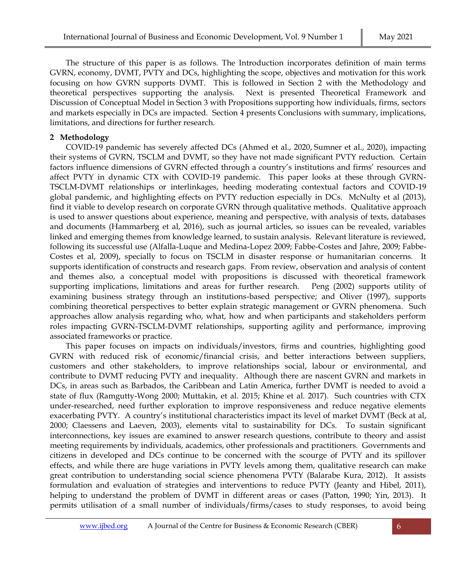The structure of this paper is as follows. The Introduction incorporates definition of main terms GVRN, economy, DVMT, PVTY and DCs, highlighting the scope, objectives and motivation for this work focusing on how GVRN supports DVMT. This is followed in Section 2 with the Methodology and theoretical perspectives supporting the analysis. Next is presented Theoretical Framework and Discussion of Conceptual Model in Section 3 with Propositions supporting how individuals, firms, sectors and markets especially in DCs are impacted. Section 4 presents Conclusions with summary, implications, limitations, and directions for further research.

## **2 Methodology**

COVID-19 pandemic has severely affected DCs [\(Ahmed et al., 2020,](https://www.sciencedirect.com/science/article/pii/S0305750X20302084#b0005) [Sumner et al., 2020\)](https://www.sciencedirect.com/science/article/pii/S0305750X20302084#b0115), impacting their systems of GVRN, TSCLM and DVMT, so they have not made significant PVTY reduction. Certain factors influence dimensions of GVRN effected through a country's institutions and firms' resources and affect PVTY in dynamic CTX with COVID-19 pandemic. This paper looks at these through GVRN-TSCLM-DVMT relationships or interlinkages, heeding moderating contextual factors and COVID-19 global pandemic, and highlighting effects on PVTY reduction especially in DCs. McNulty et al (2013), find it viable to develop research on corporate GVRN through qualitative methods. Qualitative approach is used to answer questions about experience, meaning and perspective, with analysis of texts, databases and documents (Hammarberg et al, 2016), such as journal articles, so issues can be revealed, variables linked and emerging themes from knowledge learned, to sustain analysis. Relevant literature is reviewed, following its successful use (Alfalla-Luque and Medina-Lopez 2009; Fabbe-Costes and Jahre, 2009; Fabbe-Costes et al, 2009), specially to focus on TSCLM in disaster response or humanitarian concerns. It supports identification of constructs and research gaps. From review, observation and analysis of content and themes also, a conceptual model with propositions is discussed with theoretical framework supporting implications, limitations and areas for further research. Peng (2002) supports utility of examining business strategy through an institutions-based perspective; and Oliver (1997), supports combining theoretical perspectives to better explain strategic management or GVRN phenomena. Such approaches allow analysis regarding who, what, how and when participants and stakeholders perform roles impacting GVRN-TSCLM-DVMT relationships, supporting agility and performance, improving associated frameworks or practice.

This paper focuses on impacts on individuals/investors, firms and countries, highlighting good GVRN with reduced risk of economic/financial crisis, and better interactions between suppliers, customers and other stakeholders, to improve relationships social, labour or environmental, and contribute to DVMT reducing PVTY and inequality. Although there are nascent GVRN and markets in DCs, in areas such as Barbados, the Caribbean and Latin America, further DVMT is needed to avoid a state of flux (Ramgutty-Wong 2000; Muttakin, et al. 2015; Khine et al. 2017). Such countries with CTX under-researched, need further exploration to improve responsiveness and reduce negative elements exacerbating PVTY. A country's institutional characteristics impact its level of market DVMT (Beck at al, 2000; Claessens and Laeven, 2003), elements vital to sustainability for DCs. To sustain significant interconnections, key issues are examined to answer research questions, contribute to theory and assist meeting requirements by individuals, academics, other professionals and practitioners. Governments and citizens in developed and DCs continue to be concerned with the scourge of PVTY and its spillover effects, and while there are huge variations in PVTY levels among them, qualitative research can make great contribution to understanding social science phenomena PVTY (Balarabe Kura, 2012). It assists formulation and evaluation of strategies and interventions to reduce PVTY (Jeanty and Hibel, 2011), helping to understand the problem of DVMT in different areas or cases (Patton, 1990; Yin, 2013). It permits utilisation of a small number of individuals/firms/cases to study responses, to avoid being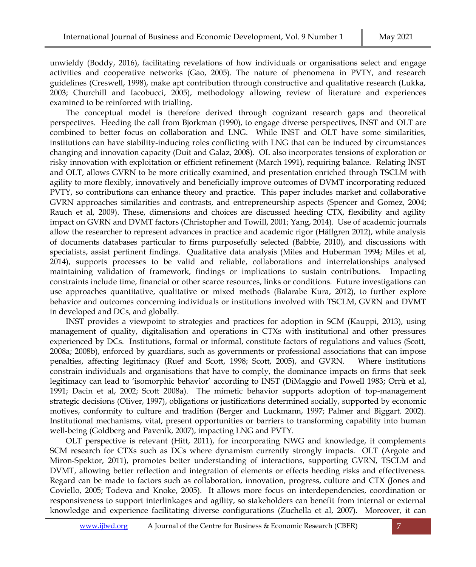unwieldy (Boddy, 2016), facilitating revelations of how individuals or organisations select and engage activities and cooperative networks (Gao, 2005). The nature of phenomena in PVTY, and research guidelines (Creswell, 1998), make apt contribution through constructive and qualitative research (Lukka, 2003; Churchill and Iacobucci, 2005), methodology allowing review of literature and experiences examined to be reinforced with trialling.

The conceptual model is therefore derived through cognizant research gaps and theoretical perspectives. Heeding the call from Bjorkman (1990), to engage diverse perspectives, INST and OLT are combined to better focus on collaboration and LNG. While INST and OLT have some similarities, institutions can have stability-inducing roles conflicting with LNG that can be induced by circumstances changing and innovation capacity (Duit and Galaz, 2008). OL also incorporates tensions of exploration or risky innovation with exploitation or efficient refinement (March 1991), requiring balance. Relating INST and OLT, allows GVRN to be more critically examined, and presentation enriched through TSCLM with agility to more flexibly, innovatively and beneficially improve outcomes of DVMT incorporating reduced PVTY, so contributions can enhance theory and practice. This paper includes market and collaborative GVRN approaches similarities and contrasts, and entrepreneurship aspects (Spencer and Gomez, 2004; Rauch et al, 2009). These, dimensions and choices are discussed heeding CTX, flexibility and agility impact on GVRN and DVMT factors (Christopher and Towill, 2001; Yang, 2014). Use of academic journals allow the researcher to represent advances in practice and academic rigor (Hällgren 2012), while analysis of documents databases particular to firms purposefully selected (Babbie, 2010), and discussions with specialists, assist pertinent findings. Qualitative data analysis (Miles and Huberman 1994; Miles et al, 2014), supports processes to be valid and reliable, collaborations and interrelationships analysed maintaining validation of framework, findings or implications to sustain contributions. Impacting constraints include time, financial or other scarce resources, links or conditions. Future investigations can use approaches quantitative, qualitative or mixed methods (Balarabe Kura, 2012), to further explore behavior and outcomes concerning individuals or institutions involved with TSCLM, GVRN and DVMT in developed and DCs, and globally.

INST provides a viewpoint to strategies and practices for adoption in SCM (Kauppi, 2013), using management of quality, digitalisation and operations in CTXs with institutional and other pressures experienced by DCs. Institutions, formal or informal, constitute factors of regulations and values (Scott, 2008a; 2008b), enforced by guardians, such as governments or professional associations that can impose penalties, affecting legitimacy (Ruef and Scott, 1998; Scott, 2005), and GVRN. Where institutions constrain individuals and organisations that have to comply, the dominance impacts on firms that seek legitimacy can lead to 'isomorphic behavior' according to INST (DiMaggio and Powell 1983; Orrù et al, 1991; Dacin et al, 2002; Scott 2008a). The mimetic behavior supports adoption of top-management strategic decisions (Oliver, 1997), obligations or justifications determined socially, supported by economic motives, conformity to culture and tradition (Berger and Luckmann, 1997; Palmer and Biggart. 2002). Institutional mechanisms, vital, present opportunities or barriers to transforming capability into human well-being (Goldberg and Pavcnik, 2007), impacting LNG and PVTY.

OLT perspective is relevant (Hitt, 2011), for incorporating NWG and knowledge, it complements SCM research for CTXs such as DCs where dynamism currently strongly impacts. OLT (Argote and Miron-Spektor, 2011), promotes better understanding of interactions, supporting GVRN, TSCLM and DVMT, allowing better reflection and integration of elements or effects heeding risks and effectiveness. Regard can be made to factors such as collaboration, innovation, progress, culture and CTX (Jones and Coviello, 2005; Todeva and Knoke, 2005). It allows more focus on interdependencies, coordination or responsiveness to support interlinkages and agility, so stakeholders can benefit from internal or external knowledge and experience facilitating diverse configurations (Zuchella et al, 2007). Moreover, it can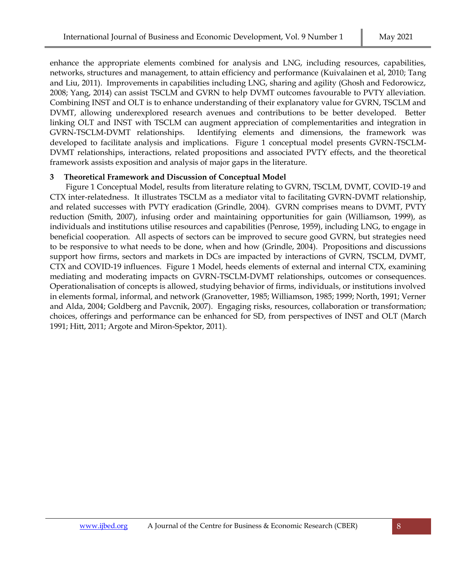enhance the appropriate elements combined for analysis and LNG, including resources, capabilities, networks, structures and management, to attain efficiency and performance (Kuivalainen et al, 2010; Tang and Liu, 2011). Improvements in capabilities including LNG, sharing and agility (Ghosh and Fedorowicz, 2008; Yang, 2014) can assist TSCLM and GVRN to help DVMT outcomes favourable to PVTY alleviation. Combining INST and OLT is to enhance understanding of their explanatory value for GVRN, TSCLM and DVMT, allowing underexplored research avenues and contributions to be better developed. Better linking OLT and INST with TSCLM can augment appreciation of complementarities and integration in GVRN-TSCLM-DVMT relationships. Identifying elements and dimensions, the framework was developed to facilitate analysis and implications. Figure 1 conceptual model presents GVRN-TSCLM-DVMT relationships, interactions, related propositions and associated PVTY effects, and the theoretical framework assists exposition and analysis of major gaps in the literature.

## **3 Theoretical Framework and Discussion of Conceptual Model**

Figure 1 Conceptual Model, results from literature relating to GVRN, TSCLM, DVMT, COVID-19 and CTX inter-relatedness. It illustrates TSCLM as a mediator vital to facilitating GVRN-DVMT relationship, and related successes with PVTY eradication (Grindle, 2004). GVRN comprises means to DVMT, PVTY reduction (Smith, 2007), infusing order and maintaining opportunities for gain (Williamson, 1999), as individuals and institutions utilise resources and capabilities (Penrose, 1959), including LNG, to engage in beneficial cooperation. All aspects of sectors can be improved to secure good GVRN, but strategies need to be responsive to what needs to be done, when and how (Grindle, 2004). Propositions and discussions support how firms, sectors and markets in DCs are impacted by interactions of GVRN, TSCLM, DVMT, CTX and COVID-19 influences. Figure 1 Model, heeds elements of external and internal CTX, examining mediating and moderating impacts on GVRN-TSCLM-DVMT relationships, outcomes or consequences. Operationalisation of concepts is allowed, studying behavior of firms, individuals, or institutions involved in elements formal, informal, and network (Granovetter, 1985; Williamson, 1985; 1999; North, 1991; Verner and Alda, 2004; Goldberg and Pavcnik, 2007). Engaging risks, resources, collaboration or transformation; choices, offerings and performance can be enhanced for SD, from perspectives of INST and OLT (March 1991; Hitt, 2011; Argote and Miron-Spektor, 2011).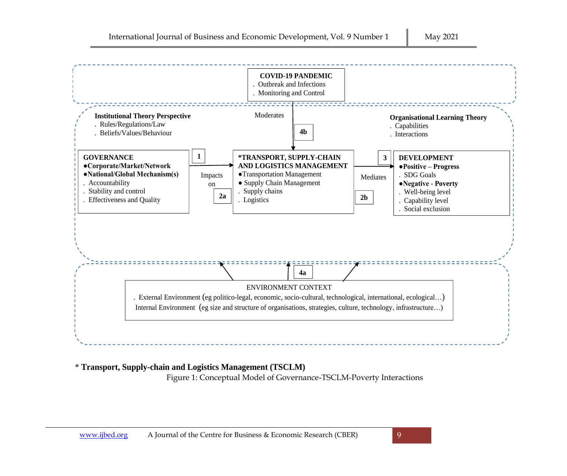

# \* **Transport, Supply-chain and Logistics Management (TSCLM)**

Figure 1: Conceptual Model of Governance-TSCLM-Poverty Interactions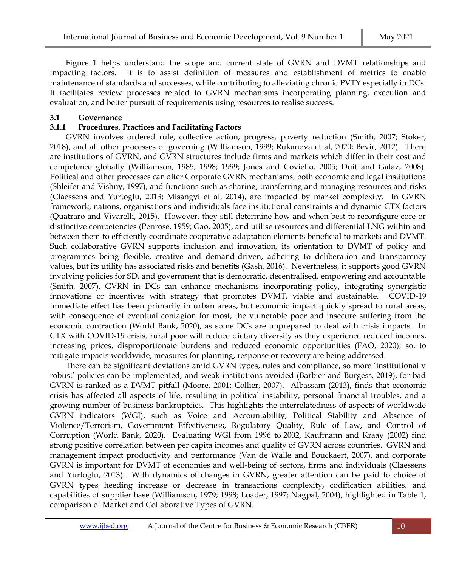Figure 1 helps understand the scope and current state of GVRN and DVMT relationships and impacting factors. It is to assist definition of measures and establishment of metrics to enable maintenance of standards and successes, while contributing to alleviating chronic PVTY especially in DCs. It facilitates review processes related to GVRN mechanisms incorporating planning, execution and evaluation, and better pursuit of requirements using resources to realise success.

## **3.1 Governance**

#### **3.1.1 Procedures, Practices and Facilitating Factors**

GVRN involves ordered rule, collective action, progress, poverty reduction (Smith, 2007; Stoker, 2018), and all other processes of governing (Williamson, 1999; Rukanova et al, 2020; Bevir, 2012). There are institutions of GVRN, and GVRN structures include firms and markets which differ in their cost and competence globally (Williamson, 1985; 1998; 1999; Jones and Coviello, 2005; Duit and Galaz, 2008). Political and other processes can alter Corporate GVRN mechanisms, both economic and legal institutions (Shleifer and Vishny, 1997), and functions such as sharing, transferring and managing resources and risks (Claessens and Yurtoglu, 2013; Misangyi et al, 2014), are impacted by market complexity. In GVRN framework, nations, organisations and individuals face institutional constraints and dynamic CTX factors (Quatraro and Vivarelli, 2015). However, they still determine how and when best to reconfigure core or distinctive competencies (Penrose, 1959; Gao, 2005), and utilise resources and differential LNG within and between them to efficiently coordinate cooperative adaptation elements beneficial to markets and DVMT. Such collaborative GVRN supports inclusion and innovation, its orientation to DVMT of policy and programmes being flexible, creative and demand-driven, adhering to deliberation and transparency values, but its utility has associated risks and benefits (Gash, 2016). Nevertheless, it supports good GVRN involving policies for SD, and government that is democratic, decentralised, empowering and accountable (Smith, 2007). GVRN in DCs can enhance mechanisms incorporating policy, integrating synergistic innovations or incentives with strategy that promotes DVMT, viable and sustainable. COVID-19 immediate effect has been primarily in urban areas, but economic impact quickly spread to rural areas, with consequence of eventual contagion for most, the vulnerable poor and insecure suffering from the economic contraction (World Bank, 2020), as some DCs are unprepared to deal with crisis impacts. In CTX with COVID-19 crisis, rural poor will reduce dietary diversity as they experience reduced incomes, increasing prices, disproportionate burdens and reduced economic opportunities (FAO, 2020); so, to mitigate impacts worldwide, measures for planning, response or recovery are being addressed.

There can be significant deviations amid GVRN types, rules and compliance, so more 'institutionally robust' policies can be implemented, and weak institutions avoided (Barbier and Burgess, 2019), for bad GVRN is ranked as a DVMT pitfall (Moore, 2001; Collier, 2007). Albassam (2013), finds that economic crisis has affected all aspects of life, resulting in political instability, personal financial troubles, and a growing number of business bankruptcies. This highlights the interrelatedness of aspects of worldwide GVRN indicators (WGI), such as Voice and Accountability, Political Stability and Absence of Violence/Terrorism, Government Effectiveness, Regulatory Quality, Rule of Law, and Control of Corruption (World Bank, 2020). Evaluating WGI from 1996 to 2002, Kaufmann and Kraay (2002) find strong positive correlation between per capita incomes and quality of GVRN across countries. GVRN and management impact productivity and performance (Van de Walle and Bouckaert, 2007), and corporate GVRN is important for DVMT of economies and well-being of sectors, firms and individuals (Claessens and Yurtoglu, 2013). With dynamics of changes in GVRN, greater attention can be paid to choice of GVRN types heeding increase or decrease in transactions complexity, codification abilities, and capabilities of supplier base (Williamson, 1979; 1998; Loader, 1997; Nagpal, 2004), highlighted in Table 1, comparison of Market and Collaborative Types of GVRN.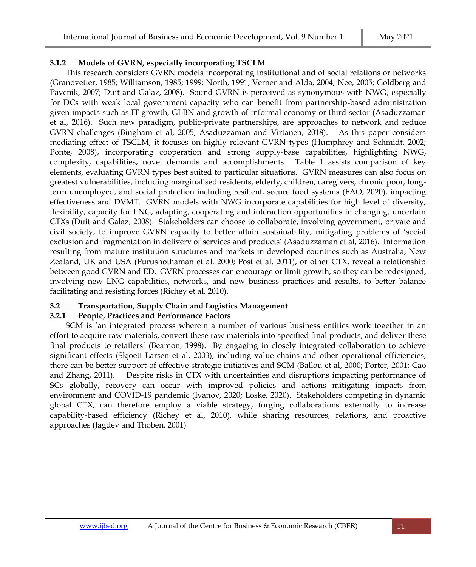## **3.1.2 Models of GVRN, especially incorporating TSCLM**

This research considers GVRN models incorporating institutional and of social relations or networks (Granovetter, 1985; Williamson, 1985; 1999; North, 1991; Verner and Alda, 2004; Nee, 2005; Goldberg and Pavcnik, 2007; Duit and Galaz, 2008). Sound GVRN is perceived as synonymous with NWG, especially for DCs with weak local government capacity who can benefit from partnership-based administration given impacts such as IT growth, GLBN and growth of informal economy or third sector (Asaduzzaman et al, 2016). Such new paradigm, public-private partnerships, are approaches to network and reduce GVRN challenges (Bingham et al, 2005; Asaduzzaman and Virtanen, 2018). As this paper considers mediating effect of TSCLM, it focuses on highly relevant GVRN types (Humphrey and Schmidt, 2002; Ponte, 2008), incorporating cooperation and strong supply-base capabilities, highlighting NWG, complexity, capabilities, novel demands and accomplishments. Table 1 assists comparison of key elements, evaluating GVRN types best suited to particular situations. GVRN measures can also focus on greatest vulnerabilities, including marginalised residents, elderly, children, caregivers, chronic poor, longterm unemployed, and social protection including resilient, secure food systems (FAO, 2020), impacting effectiveness and DVMT. GVRN models with NWG incorporate capabilities for high level of diversity, flexibility, capacity for LNG, adapting, cooperating and interaction opportunities in changing, uncertain CTXs (Duit and Galaz, 2008). Stakeholders can choose to collaborate, involving government, private and civil society, to improve GVRN capacity to better attain sustainability, mitigating problems of 'social exclusion and fragmentation in delivery of services and products' (Asaduzzaman et al, 2016). Information resulting from mature institution structures and markets in developed countries such as Australia, New Zealand, UK and USA (Purushothaman et al. 2000; Post et al. 2011), or other CTX, reveal a relationship between good GVRN and ED. GVRN processes can encourage or limit growth, so they can be redesigned, involving new LNG capabilities, networks, and new business practices and results, to better balance facilitating and resisting forces (Richey et al, 2010).

## **3.2 Transportation, Supply Chain and Logistics Management**

## **3.2.1 People, Practices and Performance Factors**

SCM is 'an integrated process wherein a number of various business entities work together in an effort to acquire raw materials, convert these raw materials into specified final products, and deliver these final products to retailers' (Beamon, 1998). By engaging in closely integrated collaboration to achieve significant effects (Skjoett-Larsen et al, 2003), including value chains and other operational efficiencies, there can be better support of effective strategic initiatives and SCM (Ballou et al, 2000; Porter, 2001; Cao and Zhang, 2011). Despite risks in CTX with uncertainties and disruptions impacting performance of SCs globally, recovery can occur with improved policies and actions mitigating impacts from environment and COVID-19 pandemic (Ivanov, 2020; Loske, 2020). Stakeholders competing in dynamic global CTX, can therefore employ a viable strategy, forging collaborations externally to increase capability-based efficiency (Richey et al, 2010), while sharing resources, relations, and proactive approaches (Jagdev and Thoben, 2001)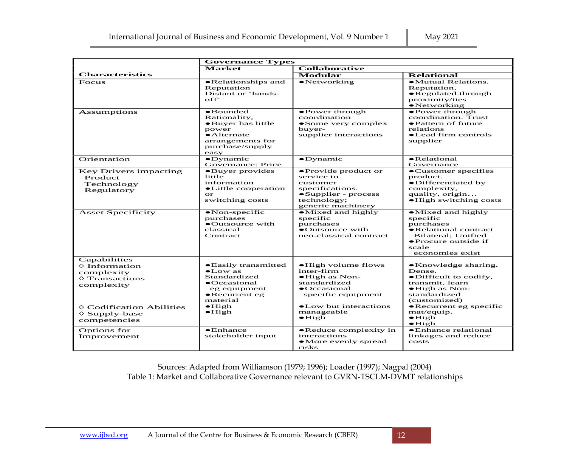|                                                                                                                                                                              | <b>Governance Types</b>                                                                                                                                                    |                                                                                                                                                                                     |                                                                                                                                                                                                                            |  |  |
|------------------------------------------------------------------------------------------------------------------------------------------------------------------------------|----------------------------------------------------------------------------------------------------------------------------------------------------------------------------|-------------------------------------------------------------------------------------------------------------------------------------------------------------------------------------|----------------------------------------------------------------------------------------------------------------------------------------------------------------------------------------------------------------------------|--|--|
|                                                                                                                                                                              | <b>Market</b><br><b>Collaborative</b>                                                                                                                                      |                                                                                                                                                                                     |                                                                                                                                                                                                                            |  |  |
| <b>Characteristics</b>                                                                                                                                                       |                                                                                                                                                                            | <b>Modular</b>                                                                                                                                                                      | <b>Relational</b>                                                                                                                                                                                                          |  |  |
| Focus                                                                                                                                                                        | •Relationships and<br>Reputation<br>Distant or 'hands-<br>$\alpha$ ff                                                                                                      | $\bullet$ Networking                                                                                                                                                                | • Mutual Relations.<br>Reputation.<br>$\bullet$ Regulated.through<br>proximity/ties<br>$\bullet$ Networking                                                                                                                |  |  |
| <b>Assumptions</b>                                                                                                                                                           | $\bullet$ Bounded<br>Rationality,<br>•Buyer has little<br>power<br>$\bullet$ Alternate<br>arrangements for<br>purchase/supply<br>easy                                      | •Power through<br>coordination<br>• Some very complex<br>buyer-<br>supplier interactions                                                                                            | •Power through<br>coordination. Trust<br>• Pattern of future<br>relations<br>•Lead firm controls<br>supplier                                                                                                               |  |  |
| Orientation                                                                                                                                                                  | $\bullet$ Dynamic<br>Governance: Price                                                                                                                                     | $\bullet$ Dynamic                                                                                                                                                                   | $\bullet$ Relational<br>Governance                                                                                                                                                                                         |  |  |
| Key Drivers impacting<br>Product<br>Technology<br>Regulatory                                                                                                                 | •Buyer provides<br>little<br>information<br>• Little cooperation<br>$\alpha$<br>switching costs                                                                            | • Provide product or<br>service to<br>customer<br>specifications.<br>•Supplier - process<br>technology;<br>generic machinery                                                        | •Customer specifies<br>product.<br>•Differentiated by<br>complexity,<br>quality, origin<br>• High switching costs                                                                                                          |  |  |
| <b>Asset Specificity</b>                                                                                                                                                     | $\bullet$ Non-specific<br>purchases<br>•Outsource with<br>classical<br>Contract                                                                                            | $\bullet$ Mixed and highly<br>specific<br>purchases<br>•Outsource with<br>neo-classical contract                                                                                    | $\bullet$ Mixed and highly<br>specific<br>purchases<br>• Relational contract<br>Bilateral: Unified<br>• Procure outside if<br>scale<br>economies exist                                                                     |  |  |
| Capabilities<br>$\diamond$ Information<br>complexity<br>$\diamond$ Transactions<br>complexity<br>$\Diamond$ Codification Abilities<br>$\diamond$ Supply-base<br>competencies | • Easily transmitted<br>$\bullet$ Low as<br>Standardized<br>$\bullet$ Occasional<br>eg equipment<br>$\bullet$ Recurrent eg<br>material<br>$\bullet$ High<br>$\bullet$ High | • High volume flows<br>inter-firm<br>$\bullet$ High as Non-<br>standardized<br>$\bullet$ Occasional<br>specific equipment<br>• Low but interactions<br>manageable<br>$\bullet$ High | • Knowledge sharing.<br>Dense.<br>$\bullet$ Difficult to codify,<br>transmit, learn<br>$\bullet$ High as Non-<br>standardized<br>(customized)<br>• Recurrent eg specific<br>mat/equip.<br>$\bullet$ High<br>$\bullet$ High |  |  |
| Options for<br>Improvement                                                                                                                                                   | $\bullet$ Enhance<br>stakeholder input                                                                                                                                     | • Reduce complexity in<br>interactions<br>•More evenly spread<br>risks                                                                                                              | • Enhance relational<br>linkages and reduce<br>costs                                                                                                                                                                       |  |  |

Sources: Adapted from Williamson (1979; 1996); Loader (1997); Nagpal (2004) Table 1: Market and Collaborative Governance relevant to GVRN-TSCLM-DVMT relationships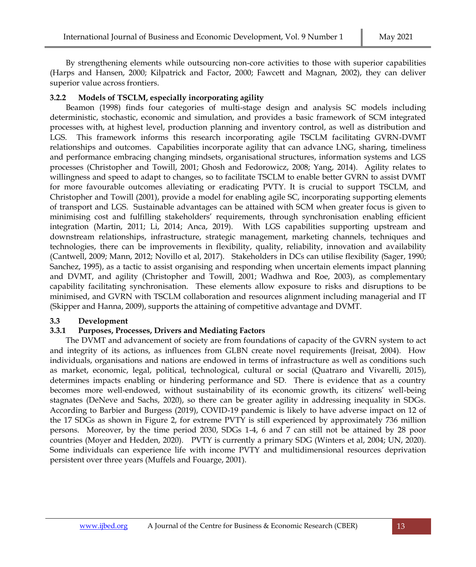By strengthening elements while outsourcing non-core activities to those with superior capabilities (Harps and Hansen, 2000; Kilpatrick and Factor, 2000; Fawcett and Magnan, 2002), they can deliver superior value across frontiers.

## **3.2.2 Models of TSCLM, especially incorporating agility**

Beamon (1998) finds four categories of multi-stage design and analysis SC models including deterministic, stochastic, economic and simulation, and provides a basic framework of SCM integrated processes with, at highest level, production planning and inventory control, as well as distribution and LGS. This framework informs this research incorporating agile TSCLM facilitating GVRN-DVMT relationships and outcomes. Capabilities incorporate agility that can advance LNG, sharing, timeliness and performance embracing changing mindsets, organisational structures, information systems and LGS processes (Christopher and Towill, 2001; Ghosh and Fedorowicz, 2008; Yang, 2014). Agility relates to willingness and speed to adapt to changes, so to facilitate TSCLM to enable better GVRN to assist DVMT for more favourable outcomes alleviating or eradicating PVTY. It is crucial to support TSCLM, and Christopher and Towill (2001), provide a model for enabling agile SC, incorporating supporting elements of transport and LGS. Sustainable advantages can be attained with SCM when greater focus is given to minimising cost and fulfilling stakeholders' requirements, through synchronisation enabling efficient integration (Martin, 2011; Li, 2014; Anca, 2019). With LGS capabilities supporting upstream and downstream relationships, infrastructure, strategic management, marketing channels, techniques and technologies, there can be improvements in flexibility, quality, reliability, innovation and availability (Cantwell, 2009; Mann, 2012; Novillo et al, 2017). Stakeholders in DCs can utilise flexibility (Sager, 1990; Sanchez, 1995), as a tactic to assist organising and responding when uncertain elements impact planning and DVMT, and agility (Christopher and Towill, 2001; Wadhwa and Roe, 2003), as complementary capability facilitating synchronisation. These elements allow exposure to risks and disruptions to be minimised, and GVRN with TSCLM collaboration and resources alignment including managerial and IT (Skipper and Hanna, 2009), supports the attaining of competitive advantage and DVMT.

## **3.3 Development**

## **3.3.1 Purposes, Processes, Drivers and Mediating Factors**

The DVMT and advancement of society are from foundations of capacity of the GVRN system to act and integrity of its actions, as influences from GLBN create novel requirements (Jreisat, 2004). How individuals, organisations and nations are endowed in terms of infrastructure as well as conditions such as market, economic, legal, political, technological, cultural or social (Quatraro and Vivarelli, 2015), determines impacts enabling or hindering performance and SD. There is evidence that as a country becomes more well-endowed, without sustainability of its economic growth, its citizens' well-being stagnates (DeNeve and Sachs, 2020), so there can be greater agility in addressing inequality in SDGs. According to Barbier and Burgess (2019), COVID-19 pandemic is likely to have adverse impact on 12 of the 17 SDGs as shown in Figure 2, for extreme PVTY is still experienced by approximately 736 million persons. Moreover, by the time period 2030, SDGs 1-4, 6 and 7 can still not be attained by 28 poor countries (Moyer and Hedden, 2020). PVTY is currently a primary SDG (Winters et al, 2004; UN, 2020). Some individuals can experience life with income PVTY and multidimensional resources deprivation persistent over three years (Muffels and Fouarge, 2001).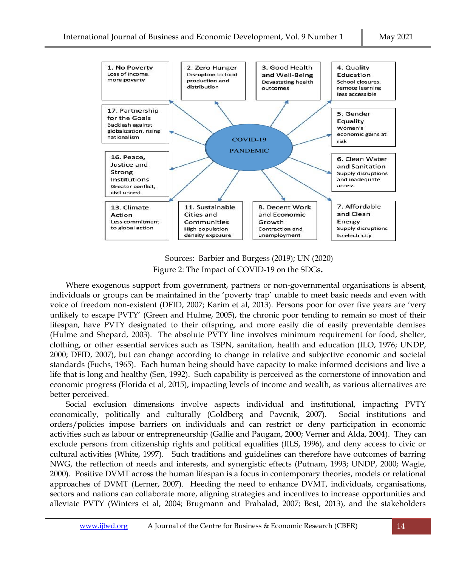

Sources: Barbier and Burgess (2019); UN (2020) Figure 2: The Impact of COVID-19 on the SDGs**.**

Where exogenous support from government, partners or non-governmental organisations is absent, individuals or groups can be maintained in the 'poverty trap' unable to meet basic needs and even with voice of freedom non-existent (DFID, 2007; Karim et al, 2013). Persons poor for over five years are 'very unlikely to escape PVTY' (Green and Hulme, 2005), the chronic poor tending to remain so most of their lifespan, have PVTY designated to their offspring, and more easily die of easily preventable demises (Hulme and Shepard, 2003). The absolute PVTY line involves minimum requirement for food, shelter, clothing, or other essential services such as TSPN, sanitation, health and education (ILO, 1976; UNDP, 2000; DFID, 2007), but can change according to change in relative and subjective economic and societal standards (Fuchs, 1965). Each human being should have capacity to make informed decisions and live a life that is long and healthy (Sen, 1992). Such capability is perceived as the cornerstone of innovation and economic progress (Florida et al, 2015), impacting levels of income and wealth, as various alternatives are better perceived.

Social exclusion dimensions involve aspects individual and institutional, impacting PVTY economically, politically and culturally (Goldberg and Pavcnik, 2007). Social institutions and orders/policies impose barriers on individuals and can restrict or deny participation in economic activities such as labour or entrepreneurship (Gallie and Paugam, 2000; Verner and Alda, 2004). They can exclude persons from citizenship rights and political equalities (IILS, 1996), and deny access to civic or cultural activities (White, 1997). Such traditions and guidelines can therefore have outcomes of barring NWG, the reflection of needs and interests, and synergistic effects (Putnam, 1993; UNDP, 2000; Wagle, 2000). Positive DVMT across the human lifespan is a focus in contemporary theories, models or relational approaches of DVMT (Lerner, 2007). Heeding the need to enhance DVMT, individuals, organisations, sectors and nations can collaborate more, aligning strategies and incentives to increase opportunities and alleviate PVTY (Winters et al, 2004; Brugmann and Prahalad, 2007; Best, 2013), and the stakeholders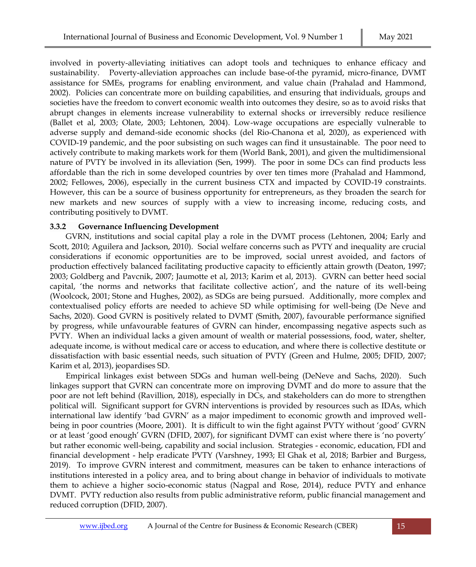involved in poverty-alleviating initiatives can adopt tools and techniques to enhance efficacy and sustainability. Poverty-alleviation approaches can include base-of-the pyramid, micro-finance, DVMT assistance for SMEs, programs for enabling environment, and value chain (Prahalad and Hammond, 2002). Policies can concentrate more on building capabilities, and ensuring that individuals, groups and societies have the freedom to convert economic wealth into outcomes they desire, so as to avoid risks that abrupt changes in elements increase vulnerability to external shocks or irreversibly reduce resilience (Ballet et al, 2003; Olate, 2003; Lehtonen, 2004). Low-wage occupations are especially vulnerable to adverse supply and demand-side economic shocks (del Rio-Chanona et al, 2020), as experienced with COVID-19 pandemic, and the poor subsisting on such wages can find it unsustainable. The poor need to actively contribute to making markets work for them (World Bank, 2001), and given the multidimensional nature of PVTY be involved in its alleviation (Sen, 1999). The poor in some DCs can find products less affordable than the rich in some developed countries by over ten times more (Prahalad and Hammond, 2002; Fellowes, 2006), especially in the current business CTX and impacted by COVID-19 constraints. However, this can be a source of business opportunity for entrepreneurs, as they broaden the search for new markets and new sources of supply with a view to increasing income, reducing costs, and contributing positively to DVMT.

## **3.3.2 Governance Influencing Development**

GVRN, institutions and social capital play a role in the DVMT process (Lehtonen, 2004; Early and Scott, 2010; Aguilera and Jackson, 2010). Social welfare concerns such as PVTY and inequality are crucial considerations if economic opportunities are to be improved, social unrest avoided, and factors of production effectively balanced facilitating productive capacity to efficiently attain growth (Deaton, 1997; 2003; Goldberg and Pavcnik, 2007; Jaumotte et al, 2013; Karim et al, 2013). GVRN can better heed social capital, 'the norms and networks that facilitate collective action', and the nature of its well-being (Woolcock, 2001; Stone and Hughes, 2002), as SDGs are being pursued. Additionally, more complex and contextualised policy efforts are needed to achieve SD while optimising for well-being (De Neve and Sachs, 2020). Good GVRN is positively related to DVMT (Smith, 2007), favourable performance signified by progress, while unfavourable features of GVRN can hinder, encompassing negative aspects such as PVTY. When an individual lacks a given amount of wealth or material possessions, food, water, shelter, adequate income, is without medical care or access to education, and where there is collective destitute or dissatisfaction with basic essential needs, such situation of PVTY (Green and Hulme, 2005; DFID, 2007; Karim et al, 2013), jeopardises SD.

Empirical linkages exist between SDGs and human well-being (DeNeve and Sachs, 2020). Such linkages support that GVRN can concentrate more on improving DVMT and do more to assure that the poor are not left behind (Ravillion, 2018), especially in DCs, and stakeholders can do more to strengthen political will. Significant support for GVRN interventions is provided by resources such as IDAs, which international law identify 'bad GVRN' as a major impediment to economic growth and improved wellbeing in poor countries (Moore, 2001). It is difficult to win the fight against PVTY without 'good' GVRN or at least 'good enough' GVRN (DFID, 2007), for significant DVMT can exist where there is 'no poverty' but rather economic well-being, capability and social inclusion. Strategies - economic, education, FDI and financial development - help eradicate PVTY (Varshney, 1993; El Ghak et al, 2018; Barbier and Burgess, 2019). To improve GVRN interest and commitment, measures can be taken to enhance interactions of institutions interested in a policy area, and to bring about change in behavior of individuals to motivate them to achieve a higher socio-economic status (Nagpal and Rose, 2014), reduce PVTY and enhance DVMT. PVTY reduction also results from public administrative reform, public financial management and reduced corruption (DFID, 2007).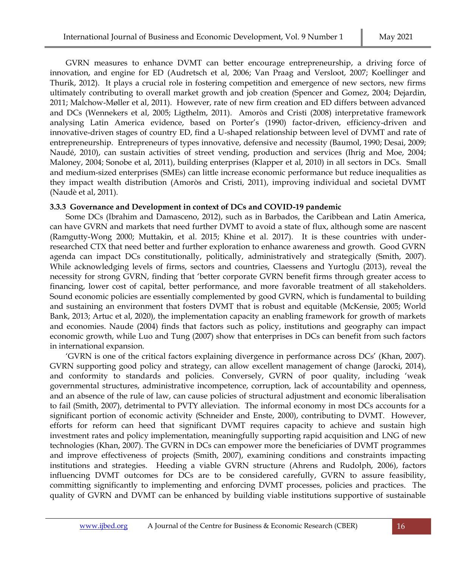GVRN measures to enhance DVMT can better encourage entrepreneurship, a driving force of innovation, and engine for ED (Audretsch et al, 2006; Van Praag and Versloot, 2007; Koellinger and Thurik, 2012). It plays a crucial role in fostering competition and emergence of new sectors, new firms ultimately contributing to overall market growth and job creation (Spencer and Gomez, 2004; Dejardin, 2011; Malchow-Møller et al, 2011). However, rate of new firm creation and ED differs between advanced and DCs (Wennekers et al, 2005; Ligthelm, 2011). Amoròs and Cristi (2008) interpretative framework analysing Latin America evidence, based on Porter's (1990) factor-driven, efficiency-driven and innovative-driven stages of country ED, find a U-shaped relationship between level of DVMT and rate of entrepreneurship. Entrepreneurs of types innovative, defensive and necessity (Baumol, 1990; Desai, 2009; Naudé, 2010), can sustain activities of street vending, production and services (Ihrig and Moe, 2004; Maloney, 2004; Sonobe et al, 2011), building enterprises (Klapper et al, 2010) in all sectors in DCs. Small and medium-sized enterprises (SMEs) can little increase economic performance but reduce inequalities as they impact wealth distribution (Amoròs and Cristi, 2011), improving individual and societal DVMT (Naudè et al, 2011).

## **3.3.3 Governance and Development in context of DCs and COVID-19 pandemic**

Some DCs (Ibrahim and Damasceno, 2012), such as in Barbados, the Caribbean and Latin America, can have GVRN and markets that need further DVMT to avoid a state of flux, although some are nascent (Ramgutty-Wong 2000; Muttakin, et al. 2015; Khine et al. 2017). It is these countries with underresearched CTX that need better and further exploration to enhance awareness and growth. Good GVRN agenda can impact DCs constitutionally, politically, administratively and strategically (Smith, 2007). While acknowledging levels of firms, sectors and countries, Claessens and Yurtoglu (2013), reveal the necessity for strong GVRN, finding that 'better corporate GVRN benefit firms through greater access to financing, lower cost of capital, better performance, and more favorable treatment of all stakeholders. Sound economic policies are essentially complemented by good GVRN, which is fundamental to building and sustaining an environment that fosters DVMT that is robust and equitable (McKensie, 2005; World Bank, 2013; Artuc et al, 2020), the implementation capacity an enabling framework for growth of markets and economies. Naude (2004) finds that factors such as policy, institutions and geography can impact economic growth, while Luo and Tung (2007) show that enterprises in DCs can benefit from such factors in international expansion.

'GVRN is one of the critical factors explaining divergence in performance across DCs' (Khan, 2007). GVRN supporting good policy and strategy, can allow excellent management of change (Jarocki, 2014), and conformity to standards and policies. Conversely, GVRN of poor quality, including 'weak governmental structures, administrative incompetence, corruption, lack of accountability and openness, and an absence of the rule of law, can cause policies of structural adjustment and economic liberalisation to fail (Smith, 2007), detrimental to PVTY alleviation. The informal economy in most DCs accounts for a significant portion of economic activity (Schneider and Enste, 2000), contributing to DVMT. However, efforts for reform can heed that significant DVMT requires capacity to achieve and sustain high investment rates and policy implementation, meaningfully supporting rapid acquisition and LNG of new technologies (Khan, 2007). The GVRN in DCs can empower more the beneficiaries of DVMT programmes and improve effectiveness of projects (Smith, 2007), examining conditions and constraints impacting institutions and strategies. Heeding a viable GVRN structure (Ahrens and Rudolph, 2006), factors influencing DVMT outcomes for DCs are to be considered carefully, GVRN to assure feasibility, committing significantly to implementing and enforcing DVMT processes, policies and practices. The quality of GVRN and DVMT can be enhanced by building viable institutions supportive of sustainable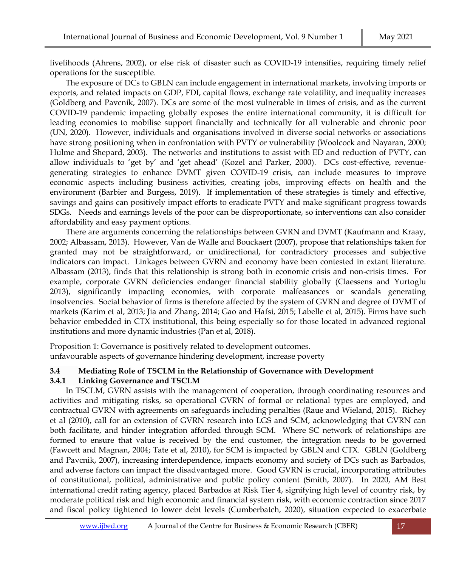livelihoods (Ahrens, 2002), or else risk of disaster such as COVID-19 intensifies, requiring timely relief operations for the susceptible.

The exposure of DCs to GBLN can include engagement in international markets, involving imports or exports, and related impacts on GDP, FDI, capital flows, exchange rate volatility, and inequality increases (Goldberg and Pavcnik, 2007). DCs are some of the most vulnerable in times of crisis, and as the current COVID-19 pandemic impacting globally exposes the entire international community, it is difficult for leading economies to mobilise support financially and technically for all vulnerable and chronic poor (UN, 2020). However, individuals and organisations involved in diverse social networks or associations have strong positioning when in confrontation with PVTY or vulnerability (Woolcock and Nayaran, 2000; Hulme and Shepard, 2003). The networks and institutions to assist with ED and reduction of PVTY, can allow individuals to 'get by' and 'get ahead' (Kozel and Parker, 2000). DCs cost-effective, revenuegenerating strategies to enhance DVMT given COVID-19 crisis, can include measures to improve economic aspects including business activities, creating jobs, improving effects on health and the environment (Barbier and Burgess, 2019). If implementation of these strategies is timely and effective, savings and gains can positively impact efforts to eradicate PVTY and make significant progress towards SDGs. Needs and earnings levels of the poor can be disproportionate, so interventions can also consider affordability and easy payment options.

There are arguments concerning the relationships between GVRN and DVMT (Kaufmann and Kraay, 2002; Albassam, 2013). However, Van de Walle and Bouckaert (2007), propose that relationships taken for granted may not be straightforward, or unidirectional, for contradictory processes and subjective indicators can impact. Linkages between GVRN and economy have been contested in extant literature. Albassam (2013), finds that this relationship is strong both in economic crisis and non-crisis times. For example, corporate GVRN deficiencies endanger financial stability globally (Claessens and Yurtoglu 2013), significantly impacting economies, with corporate malfeasances or scandals generating insolvencies. Social behavior of firms is therefore affected by the system of GVRN and degree of DVMT of markets (Karim et al, 2013; Jia and Zhang, 2014; Gao and Hafsi, 2015; Labelle et al, 2015). Firms have such behavior embedded in CTX institutional, this being especially so for those located in advanced regional institutions and more dynamic industries (Pan et al, 2018).

Proposition 1: Governance is positively related to development outcomes. unfavourable aspects of governance hindering development, increase poverty

## **3.4 Mediating Role of TSCLM in the Relationship of Governance with Development 3.4.1 Linking Governance and TSCLM**

In TSCLM, GVRN assists with the management of cooperation, through coordinating resources and activities and mitigating risks, so operational GVRN of formal or relational types are employed, and contractual GVRN with agreements on safeguards including penalties (Raue and Wieland, 2015). Richey et al (2010), call for an extension of GVRN research into LGS and SCM, acknowledging that GVRN can both facilitate, and hinder integration afforded through SCM. Where SC network of relationships are formed to ensure that value is received by the end customer, the integration needs to be governed (Fawcett and Magnan, 2004; Tate et al, 2010), for SCM is impacted by GBLN and CTX. GBLN (Goldberg and Pavcnik, 2007), increasing interdependence, impacts economy and society of DCs such as Barbados, and adverse factors can impact the disadvantaged more. Good GVRN is crucial, incorporating attributes of constitutional, political, administrative and public policy content (Smith, 2007). In 2020, AM Best international credit rating agency, placed Barbados at Risk Tier 4, signifying high level of country risk, by moderate political risk and high economic and financial system risk, with economic contraction since 2017 and fiscal policy tightened to lower debt levels (Cumberbatch, 2020), situation expected to exacerbate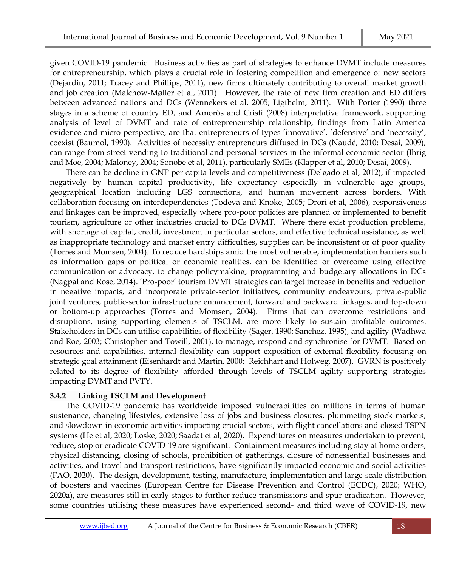given COVID-19 pandemic. Business activities as part of strategies to enhance DVMT include measures for entrepreneurship, which plays a crucial role in fostering competition and emergence of new sectors (Dejardin, 2011; Tracey and Phillips, 2011), new firms ultimately contributing to overall market growth and job creation (Malchow-Møller et al, 2011). However, the rate of new firm creation and ED differs between advanced nations and DCs (Wennekers et al, 2005; Ligthelm, 2011). With Porter (1990) three stages in a scheme of country ED, and Amoròs and Cristi (2008) interpretative framework, supporting analysis of level of DVMT and rate of entrepreneurship relationship, findings from Latin America evidence and micro perspective, are that entrepreneurs of types 'innovative', 'defensive' and 'necessity', coexist (Baumol, 1990). Activities of necessity entrepreneurs diffused in DCs (Naudé, 2010; Desai, 2009), can range from street vending to traditional and personal services in the informal economic sector (Ihrig and Moe, 2004; Maloney, 2004; Sonobe et al, 2011), particularly SMEs (Klapper et al, 2010; Desai, 2009).

There can be decline in GNP per capita levels and competitiveness (Delgado et al, 2012), if impacted negatively by human capital productivity, life expectancy especially in vulnerable age groups, geographical location including LGS connections, and human movement across borders. With collaboration focusing on interdependencies (Todeva and Knoke, 2005; Drori et al, 2006), responsiveness and linkages can be improved, especially where pro-poor policies are planned or implemented to benefit tourism, agriculture or other industries crucial to DCs DVMT. Where there exist production problems, with shortage of capital, credit, investment in particular sectors, and effective technical assistance, as well as inappropriate technology and market entry difficulties, supplies can be inconsistent or of poor quality (Torres and Momsen, 2004). To reduce hardships amid the most vulnerable, implementation barriers such as information gaps or political or economic realities, can be identified or overcome using effective communication or advocacy, to change policymaking, programming and budgetary allocations in DCs (Nagpal and Rose, 2014). 'Pro-poor' tourism DVMT strategies can target increase in benefits and reduction in negative impacts, and incorporate private-sector initiatives, community endeavours, private-public joint ventures, public-sector infrastructure enhancement, forward and backward linkages, and top-down or bottom-up approaches (Torres and Momsen, 2004). Firms that can overcome restrictions and disruptions, using supporting elements of TSCLM, are more likely to sustain profitable outcomes. Stakeholders in DCs can utilise capabilities of flexibility (Sager, 1990; Sanchez, 1995), and agility (Wadhwa and Roe, 2003; Christopher and Towill, 2001), to manage, respond and synchronise for DVMT. Based on resources and capabilities, internal flexibility can support exposition of external flexibility focusing on strategic goal attainment (Eisenhardt and Martin, 2000; [Reichhart](https://www.emerald.com/insight/search?q=Andreas%20Reichhart) and [Holweg, 2](https://www.emerald.com/insight/search?q=Matthias%20Holweg)007). GVRN is positively related to its degree of flexibility afforded through levels of TSCLM agility supporting strategies impacting DVMT and PVTY.

## **3.4.2 Linking TSCLM and Development**

The COVID-19 pandemic has worldwide imposed vulnerabilities on millions in terms of human sustenance, changing lifestyles, extensive loss of jobs and business closures, plummeting stock markets, and slowdown in economic activities impacting crucial sectors, with flight cancellations and closed TSPN systems (He et al, 2020; Loske, 2020; Saadat et al, 2020). Expenditures on measures undertaken to prevent, reduce, stop or eradicate COVID-19 are significant. Containment measures including stay at home orders, physical distancing, closing of schools, prohibition of gatherings, closure of nonessential businesses and activities, and travel and transport restrictions, have significantly impacted economic and social activities (FAO, 2020). The design, development, testing, manufacture, implementation and large-scale distribution of boosters and vaccines (European Centre for Disease Prevention and Control (ECDC), 2020; WHO, 2020a), are measures still in early stages to further reduce transmissions and spur eradication. However, some countries utilising these measures have experienced second- and third wave of COVID-19, new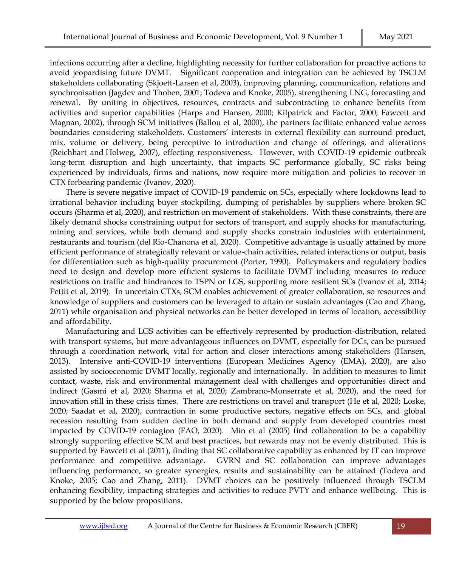infections occurring after a decline, highlighting necessity for further collaboration for proactive actions to avoid jeopardising future DVMT. Significant cooperation and integration can be achieved by TSCLM stakeholders collaborating (Skjoett-Larsen et al, 2003), improving planning, communication, relations and synchronisation (Jagdev and Thoben, 2001; Todeva and Knoke, 2005), strengthening LNG, forecasting and renewal. By uniting in objectives, resources, contracts and subcontracting to enhance benefits from activities and superior capabilities (Harps and Hansen, 2000; Kilpatrick and Factor, 2000; Fawcett and Magnan, 2002), through SCM initiatives (Ballou et al, 2000), the partners facilitate enhanced value across boundaries considering stakeholders. Customers' interests in external flexibility can surround product, mix, volume or delivery, being perceptive to introduction and change of offerings, and alterations [\(Reichhart](https://www.emerald.com/insight/search?q=Andreas%20Reichhart) and [Holweg,](https://www.emerald.com/insight/search?q=Matthias%20Holweg) 2007), effecting responsiveness. However, with COVID-19 epidemic outbreak long-term disruption and high uncertainty, that impacts SC performance globally, SC risks being experienced by individuals, firms and nations, now require more mitigation and policies to recover in CTX forbearing pandemic (Ivanov, 2020).

There is severe negative impact of COVID-19 pandemic on SCs, especially where lockdowns lead to irrational behavior including buyer stockpiling, dumping of perishables by suppliers where broken SC occurs (Sharma et al, 2020), and restriction on movement of stakeholders. With these constraints, there are likely demand shocks constraining output for sectors of transport, and supply shocks for manufacturing, mining and services, while both demand and supply shocks constrain industries with entertainment, restaurants and tourism (del Rio-Chanona et al, 2020). Competitive advantage is usually attained by more efficient performance of strategically relevant or value-chain activities, related interactions or output, basis for differentiation such as high-quality procurement (Porter, 1990). Policymakers and regulatory bodies need to design and develop more efficient systems to facilitate DVMT including measures to reduce restrictions on traffic and hindrances to TSPN or LGS, supporting more resilient SCs (Ivanov et al, 2014; Pettit et al, 2019). In uncertain CTXs, SCM enables achievement of greater collaboration, so resources and knowledge of suppliers and customers can be leveraged to attain or sustain advantages (Cao and Zhang, 2011) while organisation and physical networks can be better developed in terms of location, accessibility and affordability.

Manufacturing and LGS activities can be effectively represented by production-distribution, related with transport systems, but more advantageous influences on DVMT, especially for DCs, can be pursued through a coordination network, vital for action and closer interactions among stakeholders (Hansen, 2013). Intensive anti-COVID-19 interventions (European Medicines Agency (EMA), 2020), are also assisted by socioeconomic DVMT locally, regionally and internationally. In addition to measures to limit contact, waste, risk and environmental management deal with challenges and opportunities direct and indirect (Gasmi et al, 2020; Sharma et al, 2020; Zambrano-Monserrate et al, 2020), and the need for innovation still in these crisis times. There are restrictions on travel and transport (He et al, 2020; Loske, 2020; Saadat et al, 2020), contraction in some productive sectors, negative effects on SCs, and global recession resulting from sudden decline in both demand and supply from developed countries most impacted by COVID-19 contagion (FAO, 2020). Min et al (2005) find collaboration to be a capability strongly supporting effective SCM and best practices, but rewards may not be evenly distributed. This is supported by Fawcett et al (2011), finding that SC collaborative capability as enhanced by IT can improve performance and competitive advantage. GVRN and SC collaboration can improve advantages influencing performance, so greater synergies, results and sustainability can be attained (Todeva and Knoke, 2005; Cao and Zhang, 2011). DVMT choices can be positively influenced through TSCLM enhancing flexibility, impacting strategies and activities to reduce PVTY and enhance wellbeing. This is supported by the below propositions.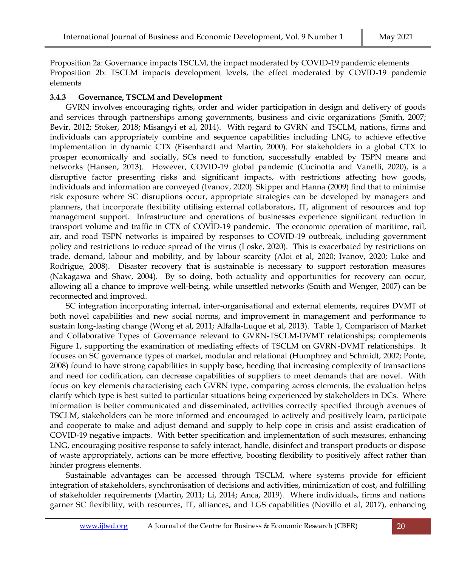Proposition 2a: Governance impacts TSCLM, the impact moderated by COVID-19 pandemic elements Proposition 2b: TSCLM impacts development levels, the effect moderated by COVID-19 pandemic elements

## **3.4.3 Governance, TSCLM and Development**

GVRN involves encouraging rights, order and wider participation in design and delivery of goods and services through partnerships among governments, business and civic organizations (Smith, 2007; Bevir, 2012; Stoker, 2018; Misangyi et al, 2014). With regard to GVRN and TSCLM, nations, firms and individuals can appropriately combine and sequence capabilities including LNG, to achieve effective implementation in dynamic CTX (Eisenhardt and Martin, 2000). For stakeholders in a global CTX to prosper economically and socially, SCs need to function, successfully enabled by TSPN means and networks (Hansen, 2013). However, COVID-19 global pandemic (Cucinotta and Vanelli, 2020), is a disruptive factor presenting risks and significant impacts, with restrictions affecting how goods, individuals and information are conveyed (Ivanov, 2020). Skipper and Hanna (2009) find that to minimise risk exposure where SC disruptions occur, appropriate strategies can be developed by managers and planners, that incorporate flexibility utilising external collaborators, IT, alignment of resources and top management support. Infrastructure and operations of businesses experience significant reduction in transport volume and traffic in CTX of COVID-19 pandemic. The economic operation of maritime, rail, air, and road TSPN networks is impaired by responses to COVID-19 outbreak, including government policy and restrictions to reduce spread of the virus (Loske, 2020). This is exacerbated by restrictions on trade, demand, labour and mobility, and by labour scarcity (Aloi et al, 2020; Ivanov, 2020; Luke and Rodrigue, 2008). Disaster recovery that is sustainable is necessary to support restoration measures (Nakagawa and Shaw, 2004). By so doing, both actuality and opportunities for recovery can occur, allowing all a chance to improve well-being, while unsettled networks (Smith and Wenger, 2007) can be reconnected and improved.

SC integration incorporating internal, inter-organisational and external elements, requires DVMT of both novel capabilities and new social norms, and improvement in management and performance to sustain long-lasting change (Wong et al, 2011; Alfalla-Luque et al, 2013). Table 1, Comparison of Market and Collaborative Types of Governance relevant to GVRN-TSCLM-DVMT relationships; complements Figure 1, supporting the examination of mediating effects of TSCLM on GVRN-DVMT relationships. It focuses on SC governance types of market, modular and relational (Humphrey and Schmidt, 2002; Ponte, 2008) found to have strong capabilities in supply base, heeding that increasing complexity of transactions and need for codification, can decrease capabilities of suppliers to meet demands that are novel. With focus on key elements characterising each GVRN type, comparing across elements, the evaluation helps clarify which type is best suited to particular situations being experienced by stakeholders in DCs. Where information is better communicated and disseminated, activities correctly specified through avenues of TSCLM, stakeholders can be more informed and encouraged to actively and positively learn, participate and cooperate to make and adjust demand and supply to help cope in crisis and assist eradication of COVID-19 negative impacts. With better specification and implementation of such measures, enhancing LNG, encouraging positive response to safely interact, handle, disinfect and transport products or dispose of waste appropriately, actions can be more effective, boosting flexibility to positively affect rather than hinder progress elements.

Sustainable advantages can be accessed through TSCLM, where systems provide for efficient integration of stakeholders, synchronisation of decisions and activities, minimization of cost, and fulfilling of stakeholder requirements (Martin, 2011; Li, 2014; Anca, 2019). Where individuals, firms and nations garner SC flexibility, with resources, IT, alliances, and LGS capabilities (Novillo et al, 2017), enhancing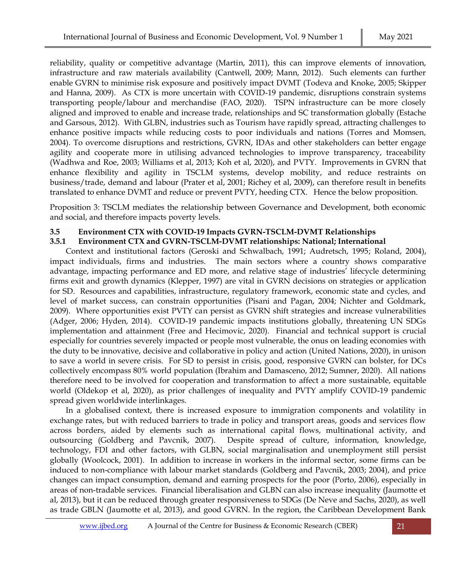reliability, quality or competitive advantage (Martin, 2011), this can improve elements of innovation, infrastructure and raw materials availability (Cantwell, 2009; Mann, 2012). Such elements can further enable GVRN to minimise risk exposure and positively impact DVMT (Todeva and Knoke, 2005; Skipper and Hanna, 2009). As CTX is more uncertain with COVID-19 pandemic, disruptions constrain systems transporting people/labour and merchandise (FAO, 2020). TSPN infrastructure can be more closely aligned and improved to enable and increase trade, relationships and SC transformation globally (Estache and Garsous, 2012). With GLBN, industries such as Tourism have rapidly spread, attracting challenges to enhance positive impacts while reducing costs to poor individuals and nations (Torres and Momsen, 2004). To overcome disruptions and restrictions, GVRN, IDAs and other stakeholders can better engage agility and cooperate more in utilising advanced technologies to improve transparency, traceability (Wadhwa and Roe, 2003; Williams et al, 2013; Koh et al, 2020), and PVTY. Improvements in GVRN that enhance flexibility and agility in TSCLM systems, develop mobility, and reduce restraints on business/trade, demand and labour (Prater et al, 2001; Richey et al, 2009), can therefore result in benefits translated to enhance DVMT and reduce or prevent PVTY, heeding CTX. Hence the below proposition.

Proposition 3: TSCLM mediates the relationship between Governance and Development, both economic and social, and therefore impacts poverty levels.

## **3.5 Environment CTX with COVID-19 Impacts GVRN-TSCLM-DVMT Relationships**

## **3.5.1 Environment CTX and GVRN-TSCLM-DVMT relationships: National; International**

Context and institutional factors (Geroski and Schwalbach, 1991; Audretsch, 1995; Roland, 2004), impact individuals, firms and industries. The main sectors where a country shows comparative advantage, impacting performance and ED more, and relative stage of industries' lifecycle determining firms exit and growth dynamics (Klepper, 1997) are vital in GVRN decisions on strategies or application for SD. Resources and capabilities, infrastructure, regulatory framework, economic state and cycles, and level of market success, can constrain opportunities (Pisani and Pagan, 2004; Nichter and Goldmark, 2009). Where opportunities exist PVTY can persist as GVRN shift strategies and increase vulnerabilities (Adger, 2006; Hyden, 2014). COVID-19 pandemic impacts institutions globally, threatening UN SDGs implementation and attainment (Free and Hecimovic, 2020). Financial and technical support is crucial especially for countries severely impacted or people most vulnerable, the onus on leading economies with the duty to be innovative, decisive and collaborative in policy and action (United Nations, 2020), in unison to save a world in severe crisis. For SD to persist in crisis, good, responsive GVRN can bolster, for DCs collectively encompass 80% world population (Ibrahim and Damasceno, 2012; Sumner, 2020). All nations therefore need to be involved for cooperation and transformation to affect a more sustainable, equitable world (Oldekop et al, 2020), as prior challenges of inequality and PVTY amplify COVID-19 pandemic spread given worldwide interlinkages.

In a globalised context, there is increased exposure to immigration components and volatility in exchange rates, but with reduced barriers to trade in policy and transport areas, goods and services flow across borders, aided by elements such as international capital flows, multinational activity, and outsourcing (Goldberg and Pavcnik, 2007). Despite spread of culture, information, knowledge, technology, FDI and other factors, with GLBN, social marginalisation and unemployment still persist globally (Woolcock, 2001). In addition to increase in workers in the informal sector, some firms can be induced to non-compliance with labour market standards (Goldberg and Pavcnik, 2003; 2004), and price changes can impact consumption, demand and earning prospects for the poor (Porto, 2006), especially in areas of non-tradable services. Financial liberalisation and GLBN can also increase inequality (Jaumotte et al, 2013), but it can be reduced through greater responsiveness to SDGs (De Neve and Sachs, 2020), as well as trade GBLN (Jaumotte et al, 2013), and good GVRN. In the region, the Caribbean Development Bank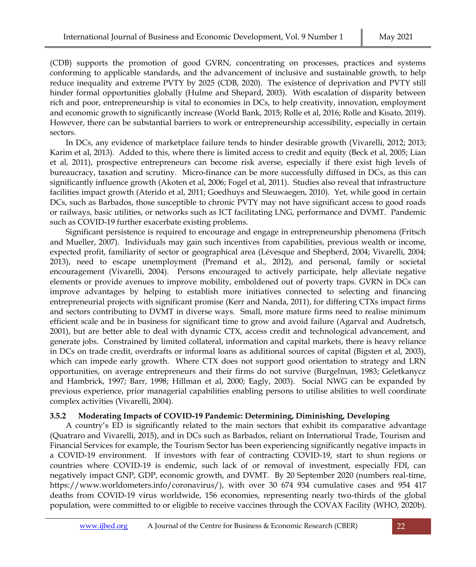(CDB) supports the promotion of good GVRN, concentrating on processes, practices and systems conforming to applicable standards, and the advancement of inclusive and sustainable growth, to help reduce inequality and extreme PVTY by 2025 (CDB, 2020). The existence of deprivation and PVTY still hinder formal opportunities globally (Hulme and Shepard, 2003). With escalation of disparity between rich and poor, entrepreneurship is vital to economies in DCs, to help creativity, innovation, employment and economic growth to significantly increase (World Bank, 2015; Rolle et al, 2016; Rolle and Kisato, 2019). However, there can be substantial barriers to work or entrepreneurship accessibility, especially in certain sectors.

In DCs, any evidence of marketplace failure tends to hinder desirable growth (Vivarelli, 2012; 2013; Karim et al, 2013). Added to this, where there is limited access to credit and equity (Beck et al, 2005; Lian et al, 2011), prospective entrepreneurs can become risk averse, especially if there exist high levels of bureaucracy, taxation and scrutiny. Micro-finance can be more successfully diffused in DCs, as this can significantly influence growth (Akoten et al, 2006; Fogel et al, 2011). Studies also reveal that infrastructure facilities impact growth (Aterido et al, 2011; Goedhuys and Sleuwaegen, 2010). Yet, while good in certain DCs, such as Barbados, those susceptible to chronic PVTY may not have significant access to good roads or railways, basic utilities, or networks such as ICT facilitating LNG, performance and DVMT. Pandemic such as COVID-19 further exacerbate existing problems.

Significant persistence is required to encourage and engage in entrepreneurship phenomena (Fritsch and Mueller, 2007). Individuals may gain such incentives from capabilities, previous wealth or income, expected profit, familiarity of sector or geographical area (Lévesque and Shepherd, 2004; Vivarelli, 2004; 2013), need to escape unemployment (Premand et al., 2012), and personal, family or societal encouragement (Vivarelli, 2004). Persons encouraged to actively participate, help alleviate negative elements or provide avenues to improve mobility, emboldened out of poverty traps. GVRN in DCs can improve advantages by helping to establish more initiatives connected to selecting and financing entrepreneurial projects with significant promise (Kerr and Nanda, 2011), for differing CTXs impact firms and sectors contributing to DVMT in diverse ways. Small, more mature firms need to realise minimum efficient scale and be in business for significant time to grow and avoid failure (Agarval and Audretsch, 2001), but are better able to deal with dynamic CTX, access credit and technological advancement, and generate jobs. Constrained by limited collateral, information and capital markets, there is heavy reliance in DCs on trade credit, overdrafts or informal loans as additional sources of capital (Bigsten et al, 2003), which can impede early growth. Where CTX does not support good orientation to strategy and LRN opportunities, on average entrepreneurs and their firms do not survive (Burgelman, 1983; Geletkanycz and Hambrick, 1997; Barr, 1998; Hillman et al, 2000; Eagly, 2003). Social NWG can be expanded by previous experience, prior managerial capabilities enabling persons to utilise abilities to well coordinate complex activities (Vivarelli, 2004).

## **3.5.2 Moderating Impacts of COVID-19 Pandemic: Determining, Diminishing, Developing**

A country's ED is significantly related to the main sectors that exhibit its comparative advantage (Quatraro and Vivarelli, 2015), and in DCs such as Barbados, reliant on International Trade, Tourism and Financial Services for example, the Tourism Sector has been experiencing significantly negative impacts in a COVID-19 environment. If investors with fear of contracting COVID-19, start to shun regions or countries where COVID-19 is endemic, such lack of or removal of investment, especially FDI, can negatively impact GNP, GDP, economic growth, and DVMT. By 20 September 2020 (numbers real-time, https://www.worldometers.info/coronavirus/), with over 30 674 934 cumulative cases and 954 417 deaths from COVID-19 virus worldwide, 156 economies, representing nearly two-thirds of the global population, were committed to or eligible to receive vaccines through the COVAX Facility (WHO, 2020b).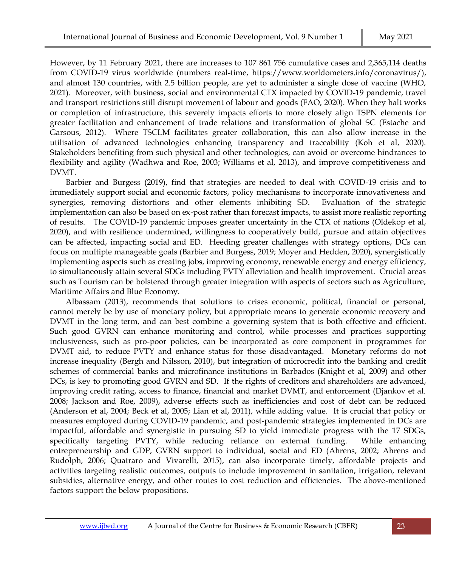However, by 11 February 2021, there are increases to 107 861 756 cumulative cases and 2,365,114 deaths from COVID-19 virus worldwide (numbers real-time, https://www.worldometers.info/coronavirus/), and almost 130 countries, with 2.5 billion people, are yet to administer a single dose of vaccine (WHO, 2021). Moreover, with business, social and environmental CTX impacted by COVID-19 pandemic, travel and transport restrictions still disrupt movement of labour and goods (FAO, 2020). When they halt works or completion of infrastructure, this severely impacts efforts to more closely align TSPN elements for greater facilitation and enhancement of trade relations and transformation of global SC (Estache and Garsous, 2012). Where TSCLM facilitates greater collaboration, this can also allow increase in the utilisation of advanced technologies enhancing transparency and traceability (Koh et al, 2020). Stakeholders benefiting from such physical and other technologies, can avoid or overcome hindrances to flexibility and agility (Wadhwa and Roe, 2003; Williams et al, 2013), and improve competitiveness and DVMT.

Barbier and Burgess (2019), find that strategies are needed to deal with COVID-19 crisis and to immediately support social and economic factors, policy mechanisms to incorporate innovativeness and synergies, removing distortions and other elements inhibiting SD. Evaluation of the strategic implementation can also be based on ex-post rather than forecast impacts, to assist more realistic reporting of results. The COVID-19 pandemic imposes greater uncertainty in the CTX of nations (Oldekop et al, 2020), and with resilience undermined, willingness to cooperatively build, pursue and attain objectives can be affected, impacting social and ED. Heeding greater challenges with strategy options, DCs can focus on multiple manageable goals (Barbier and Burgess, 2019; Moyer and Hedden, 2020), synergistically implementing aspects such as creating jobs, improving economy, renewable energy and energy efficiency, to simultaneously attain several SDGs including PVTY alleviation and health improvement. Crucial areas such as Tourism can be bolstered through greater integration with aspects of sectors such as Agriculture, Maritime Affairs and Blue Economy.

Albassam (2013), recommends that solutions to crises economic, political, financial or personal, cannot merely be by use of monetary policy, but appropriate means to generate economic recovery and DVMT in the long term, and can best combine a governing system that is both effective and efficient. Such good GVRN can enhance monitoring and control, while processes and practices supporting inclusiveness, such as pro-poor policies, can be incorporated as core component in programmes for DVMT aid, to reduce PVTY and enhance status for those disadvantaged. Monetary reforms do not increase inequality (Bergh and Nilsson, 2010), but integration of microcredit into the banking and credit schemes of commercial banks and microfinance institutions in Barbados (Knight et al, 2009) and other DCs, is key to promoting good GVRN and SD. If the rights of creditors and shareholders are advanced, improving credit rating, access to finance, financial and market DVMT, and enforcement (Djankov et al. 2008; Jackson and Roe, 2009), adverse effects such as inefficiencies and cost of debt can be reduced (Anderson et al, 2004; Beck et al, 2005; Lian et al, 2011), while adding value. It is crucial that policy or measures employed during COVID-19 pandemic, and post-pandemic strategies implemented in DCs are impactful, affordable and synergistic in pursuing SD to yield immediate progress with the 17 SDGs, specifically targeting PVTY, while reducing reliance on external funding. While enhancing entrepreneurship and GDP, GVRN support to individual, social and ED (Ahrens, 2002; Ahrens and Rudolph, 2006; Quatraro and Vivarelli, 2015), can also incorporate timely, affordable projects and activities targeting realistic outcomes, outputs to include improvement in sanitation, irrigation, relevant subsidies, alternative energy, and other routes to cost reduction and efficiencies. The above-mentioned factors support the below propositions.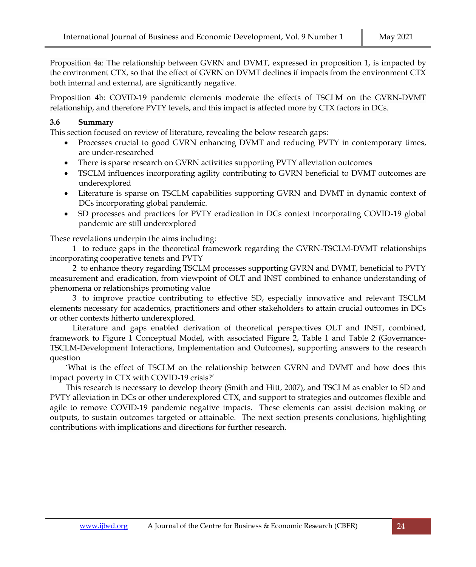Proposition 4a: The relationship between GVRN and DVMT, expressed in proposition 1, is impacted by the environment CTX, so that the effect of GVRN on DVMT declines if impacts from the environment CTX both internal and external, are significantly negative.

Proposition 4b: COVID-19 pandemic elements moderate the effects of TSCLM on the GVRN-DVMT relationship, and therefore PVTY levels, and this impact is affected more by CTX factors in DCs.

## **3.6 Summary**

This section focused on review of literature, revealing the below research gaps:

- Processes crucial to good GVRN enhancing DVMT and reducing PVTY in contemporary times, are under-researched
- There is sparse research on GVRN activities supporting PVTY alleviation outcomes
- TSCLM influences incorporating agility contributing to GVRN beneficial to DVMT outcomes are underexplored
- Literature is sparse on TSCLM capabilities supporting GVRN and DVMT in dynamic context of DCs incorporating global pandemic.
- SD processes and practices for PVTY eradication in DCs context incorporating COVID-19 global pandemic are still underexplored

These revelations underpin the aims including:

1 to reduce gaps in the theoretical framework regarding the GVRN-TSCLM-DVMT relationships incorporating cooperative tenets and PVTY

2 to enhance theory regarding TSCLM processes supporting GVRN and DVMT, beneficial to PVTY measurement and eradication, from viewpoint of OLT and INST combined to enhance understanding of phenomena or relationships promoting value

3 to improve practice contributing to effective SD, especially innovative and relevant TSCLM elements necessary for academics, practitioners and other stakeholders to attain crucial outcomes in DCs or other contexts hitherto underexplored.

Literature and gaps enabled derivation of theoretical perspectives OLT and INST, combined, framework to Figure 1 Conceptual Model, with associated Figure 2, Table 1 and Table 2 (Governance-TSCLM-Development Interactions, Implementation and Outcomes), supporting answers to the research question

'What is the effect of TSCLM on the relationship between GVRN and DVMT and how does this impact poverty in CTX with COVID-19 crisis?'

This research is necessary to develop theory (Smith and Hitt, 2007), and TSCLM as enabler to SD and PVTY alleviation in DCs or other underexplored CTX, and support to strategies and outcomes flexible and agile to remove COVID-19 pandemic negative impacts. These elements can assist decision making or outputs, to sustain outcomes targeted or attainable. The next section presents conclusions, highlighting contributions with implications and directions for further research.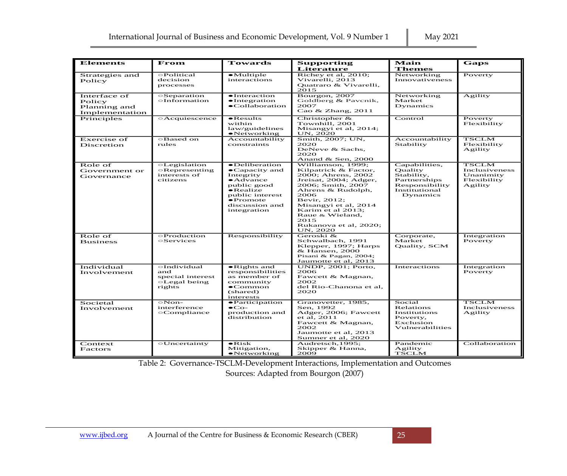| <b>Elements</b>                                          | From                                                                    | Towards                                                                                                                                                                                         | <b>Supporting</b>                                                                                                                                                                                                                                                       | Main                                                                                                  | Gaps                                                                 |
|----------------------------------------------------------|-------------------------------------------------------------------------|-------------------------------------------------------------------------------------------------------------------------------------------------------------------------------------------------|-------------------------------------------------------------------------------------------------------------------------------------------------------------------------------------------------------------------------------------------------------------------------|-------------------------------------------------------------------------------------------------------|----------------------------------------------------------------------|
|                                                          |                                                                         |                                                                                                                                                                                                 | Literature                                                                                                                                                                                                                                                              | <b>Themes</b>                                                                                         |                                                                      |
| Strategies and<br>Policy                                 | $\odot$ Political<br>decision<br>processes                              | $\bullet$ Multiple<br>interactions                                                                                                                                                              | Richev et al. 2010:<br>Vivarelli, 2013<br>Ouatraro & Vivarelli.<br>2015                                                                                                                                                                                                 | Networking<br>Innovativeness                                                                          | Poverty                                                              |
| Interface of<br>Policy<br>Planning and<br>Implementation | $\circ$ Separation<br>$\circ$ Information                               | $\bullet$ Interaction<br>$\bullet$ Integration<br>$\bullet$ Collaboration                                                                                                                       | Bourgon, 2007<br>Goldberg & Pavenik,<br>2007<br>Cao & Zhang, 2011                                                                                                                                                                                                       | Networking<br>Market<br>Dynamics                                                                      | Agility                                                              |
| Principles                                               | <b>Acquiescence</b>                                                     | $\bullet$ Results<br>within<br>law/guidelines<br>$\bullet$ Networking                                                                                                                           | Christopher $\&$<br>Townhill, 2001<br>Misangyi et al, 2014;<br>UN, 2020                                                                                                                                                                                                 | Control                                                                                               | Poverty<br>Flexibility                                               |
| <b>Exercise</b> of<br>Discretion                         | $\circ$ Based on<br>rules                                               | Accountability<br>constraints                                                                                                                                                                   | Smith, 2007; UN,<br>2020<br>DeNeve & Sachs,<br>2020<br>Anand & Sen, 2000                                                                                                                                                                                                | Accountability<br>Stability                                                                           | <b>TSCLM</b><br>Flexibility<br>Agility                               |
| Role of<br>Government or<br>Governance                   | $\circ$ Legislation<br>$\circ$ Representing<br>interests of<br>citizens | $\bullet$ Deliberation<br>$\bullet$ Capacity and<br>Integrity<br>$\bullet$ Advance<br>public good<br>$\bullet$ Realize<br>public interest<br>$\bullet$ Promote<br>discussion and<br>integration | Williamson, 1999:<br>Kilpatrick & Factor,<br>2000; Ahrens, 2002<br>Jreisat, 2004; Adger,<br>2006: Smith, 2007<br>Ahrens & Rudolph,<br>2006<br>Bevir, 2012;<br>Misangyi et al, 2014<br>Karim et al 2013;<br>Raue & Wieland,<br>2015<br>Rukanova et al, 2020;<br>UN, 2020 | Capabilities,<br>Quality<br>Stability,<br>Partnerships<br>Responsibility<br>Institutional<br>Dynamics | <b>TSCLM</b><br>Inclusiveness<br>Unanimity<br>Flexibility<br>Agility |
| Role of<br><b>Business</b>                               | ⊖Production<br>$\circ$ Services                                         | Responsibility                                                                                                                                                                                  | Geroski &<br>Schwalbach, 1991<br>Klepper, 1997; Harps<br>& Hansen, 2000<br>Pisani & Pagan, 2004;<br>Jaumotte et al, 2013                                                                                                                                                | Corporate,<br>Market<br>Quality, SCM                                                                  | Integration<br>Poverty                                               |
| Individual<br>Involvement                                | $\odot$ Individual<br>and<br>special interest<br>○Legal being<br>rights | $\bullet$ Rights and<br>responsibilities<br>as member of<br>community<br>$\bullet$ Common<br>(shared)<br>interests                                                                              | UNDP, 2001; Porto,<br>2006<br>Fawcett & Magnan,<br>2002<br>del Rio-Chanona et al,<br>2020                                                                                                                                                                               | Interactions                                                                                          | Integration<br>Poverty                                               |
| Societal<br>Involvement                                  | $\circ$ Non-<br>interference<br>⊙Compliance                             | $\bullet$ Participation<br>$\bullet$ Co-<br>production and<br>distribution                                                                                                                      | Granovetter, 1985,<br>Sen. 1992<br>Adger, 2006; Fawcett<br>et al, 2011<br>Fawcett & Magnan,<br>2002<br>Jaumotte et al, 2013<br>Sumner et al, 2020                                                                                                                       | Social<br>Relations<br>Institutions<br>Poverty.<br>Exclusion<br>Vulnerabilities                       | <b>TSCLM</b><br>Inclusiveness<br>Agility                             |
| Context<br>Factors                                       | <b>OUncertainty</b>                                                     | $\bullet$ Risk<br>Mitigation,<br>$\bullet$ Networking                                                                                                                                           | Audretsch, 1995;<br>Skipper & Hanna,<br>2009                                                                                                                                                                                                                            | Pandemic<br>Agility<br>TSCLM                                                                          | Collaboration                                                        |

Table 2: Governance-TSCLM-Development Interactions, Implementation and Outcomes Sources: Adapted from Bourgon (2007)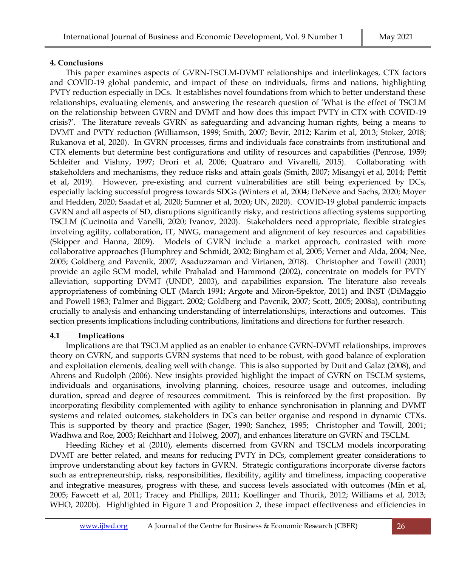## **4. Conclusions**

This paper examines aspects of GVRN-TSCLM-DVMT relationships and interlinkages, CTX factors and COVID-19 global pandemic, and impact of these on individuals, firms and nations, highlighting PVTY reduction especially in DCs. It establishes novel foundations from which to better understand these relationships, evaluating elements, and answering the research question of 'What is the effect of TSCLM on the relationship between GVRN and DVMT and how does this impact PVTY in CTX with COVID-19 crisis?'. The literature reveals GVRN as safeguarding and advancing human rights, being a means to DVMT and PVTY reduction (Williamson, 1999; Smith, 2007; Bevir, 2012; Karim et al, 2013; Stoker, 2018; Rukanova et al, 2020). In GVRN processes, firms and individuals face constraints from institutional and CTX elements but determine best configurations and utility of resources and capabilities (Penrose, 1959; Schleifer and Vishny, 1997; Drori et al, 2006; Quatraro and Vivarelli, 2015). Collaborating with stakeholders and mechanisms, they reduce risks and attain goals (Smith, 2007; Misangyi et al, 2014; Pettit et al, 2019). However, pre-existing and current vulnerabilities are still being experienced by DCs, especially lacking successful progress towards SDGs (Winters et al, 2004; DeNeve and Sachs, 2020; Moyer and Hedden, 2020; Saadat et al, 2020; Sumner et al, 2020; UN, 2020). COVID-19 global pandemic impacts GVRN and all aspects of SD, disruptions significantly risky, and restrictions affecting systems supporting TSCLM (Cucinotta and Vanelli, 2020; Ivanov, 2020). Stakeholders need appropriate, flexible strategies involving agility, collaboration, IT, NWG, management and alignment of key resources and capabilities (Skipper and Hanna, 2009). Models of GVRN include a market approach, contrasted with more collaborative approaches (Humphrey and Schmidt, 2002; Bingham et al, 2005; Verner and Alda, 2004; Nee, 2005; Goldberg and Pavcnik, 2007; Asaduzzaman and Virtanen, 2018). Christopher and Towill (2001) provide an agile SCM model, while Prahalad and Hammond (2002), concentrate on models for PVTY alleviation, supporting DVMT (UNDP, 2003), and capabilities expansion. The literature also reveals appropriateness of combining OLT (March 1991; Argote and Miron-Spektor, 2011) and INST (DiMaggio and Powell 1983; Palmer and Biggart. 2002; Goldberg and Pavcnik, 2007; Scott, 2005; 2008a), contributing crucially to analysis and enhancing understanding of interrelationships, interactions and outcomes. This section presents implications including contributions, limitations and directions for further research.

## **4.1 Implications**

Implications are that TSCLM applied as an enabler to enhance GVRN-DVMT relationships, improves theory on GVRN, and supports GVRN systems that need to be robust, with good balance of exploration and exploitation elements, dealing well with change. This is also supported by Duit and Galaz (2008), and Ahrens and Rudolph (2006). New insights provided highlight the impact of GVRN on TSCLM systems, individuals and organisations, involving planning, choices, resource usage and outcomes, including duration, spread and degree of resources commitment. This is reinforced by the first proposition. By incorporating flexibility complemented with agility to enhance synchronisation in planning and DVMT systems and related outcomes, stakeholders in DCs can better organise and respond in dynamic CTXs. This is supported by theory and practice (Sager, 1990; Sanchez, 1995; Christopher and Towill, 2001; Wadhwa and Roe, 2003[; Reichhart](https://www.emerald.com/insight/search?q=Andreas%20Reichhart) and [Holweg, 2](https://www.emerald.com/insight/search?q=Matthias%20Holweg)007), and enhances literature on GVRN and TSCLM.

Heeding Richey et al (2010), elements discerned from GVRN and TSCLM models incorporating DVMT are better related, and means for reducing PVTY in DCs, complement greater considerations to improve understanding about key factors in GVRN. Strategic configurations incorporate diverse factors such as entrepreneurship, risks, responsibilities, flexibility, agility and timeliness, impacting cooperative and integrative measures, progress with these, and success levels associated with outcomes (Min et al, 2005; Fawcett et al, 2011; Tracey and Phillips, 2011; Koellinger and Thurik, 2012; Williams et al, 2013; WHO, 2020b). Highlighted in Figure 1 and Proposition 2, these impact effectiveness and efficiencies in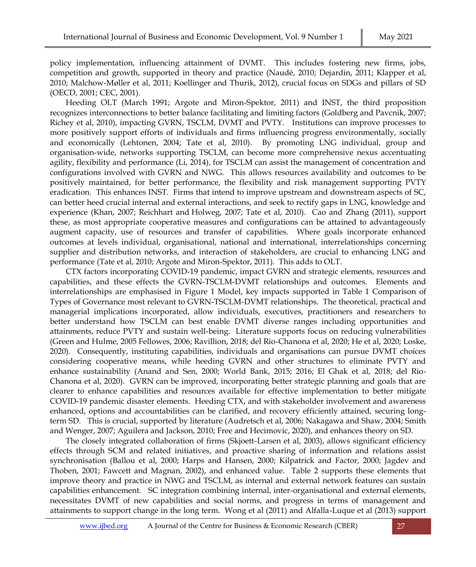policy implementation, influencing attainment of DVMT. This includes fostering new firms, jobs, competition and growth, supported in theory and practice (Naudé, 2010; Dejardin, 2011; Klapper et al, 2010; Malchow-Møller et al, 2011; Koellinger and Thurik, 2012), crucial focus on SDGs and pillars of SD (OECD, 2001; CEC, 2001).

Heeding OLT (March 1991; Argote and Miron-Spektor, 2011) and INST, the third proposition recognizes interconnections to better balance facilitating and limiting factors (Goldberg and Pavcnik, 2007; Richey et al, 2010), impacting GVRN, TSCLM, DVMT and PVTY. Institutions can improve processes to more positively support efforts of individuals and firms influencing progress environmentally, socially and economically (Lehtonen, 2004; Tate et al, 2010). By promoting LNG individual, group and organisation-wide, networks supporting TSCLM, can become more comprehensive nexus accentuating agility, flexibility and performance (Li, 2014), for TSCLM can assist the management of concentration and configurations involved with GVRN and NWG. This allows resources availability and outcomes to be positively maintained, for better performance, the flexibility and risk management supporting PVTY eradication. This enhances INST. Firms that intend to improve upstream and downstream aspects of SC, can better heed crucial internal and external interactions, and seek to rectify gaps in LNG, knowledge and experience (Khan, 2007; [Reichhart and](https://www.emerald.com/insight/search?q=Andreas%20Reichhart) [Holweg,](https://www.emerald.com/insight/search?q=Matthias%20Holweg) 2007; Tate et al, 2010). Cao and Zhang (2011), support these, as most appropriate cooperative measures and configurations can be attained to advantageously augment capacity, use of resources and transfer of capabilities. Where goals incorporate enhanced outcomes at levels individual, organisational, national and international, interrelationships concerning supplier and distribution networks, and interaction of stakeholders, are crucial to enhancing LNG and performance (Tate et al, 2010; Argote and Miron-Spektor, 2011). This adds to OLT.

CTX factors incorporating COVID-19 pandemic, impact GVRN and strategic elements, resources and capabilities, and these effects the GVRN-TSCLM-DVMT relationships and outcomes. Elements and interrelationships are emphasised in Figure 1 Model, key impacts supported in Table 1 Comparison of Types of Governance most relevant to GVRN-TSCLM-DVMT relationships. The theoretical, practical and managerial implications incorporated, allow individuals, executives, practitioners and researchers to better understand how TSCLM can best enable DVMT diverse ranges including opportunities and attainments, reduce PVTY and sustain well-being. Literature supports focus on reducing vulnerabilities (Green and Hulme, 2005 Fellowes, 2006; Ravillion, 2018; del Rio-Chanona et al, 2020; He et al, 2020; Loske, 2020). Consequently, instituting capabilities, individuals and organisations can pursue DVMT choices considering cooperative means, while heeding GVRN and other structures to eliminate PVTY and enhance sustainability (Anand and Sen, 2000; World Bank, 2015; 2016; El Ghak et al, 2018; del Rio-Chanona et al, 2020). GVRN can be improved, incorporating better strategic planning and goals that are clearer to enhance capabilities and resources available for effective implementation to better mitigate COVID-19 pandemic disaster elements. Heeding CTX, and with stakeholder involvement and awareness enhanced, options and accountabilities can be clarified, and recovery efficiently attained, securing longterm SD. This is crucial, supported by literature (Audretsch et al, 2006; Nakagawa and Shaw, 2004; Smith and Wenger, 2007; Aguilera and Jackson, 2010; Free and Hecimovic, 2020), and enhances theory on SD.

The closely integrated collaboration of firms (Skjoett-Larsen et al, 2003), allows significant efficiency effects through SCM and related initiatives, and proactive sharing of information and relations assist synchronisation (Ballou et al, 2000; Harps and Hansen, 2000; Kilpatrick and Factor, 2000; Jagdev and Thoben, 2001; Fawcett and Magnan, 2002), and enhanced value. Table 2 supports these elements that improve theory and practice in NWG and TSCLM, as internal and external network features can sustain capabilities enhancement. SC integration combining internal, inter-organisational and external elements, necessitates DVMT of new capabilities and social norms, and progress in terms of management and attainments to support change in the long term. Wong et al (2011) and Alfalla-Luque et al (2013) support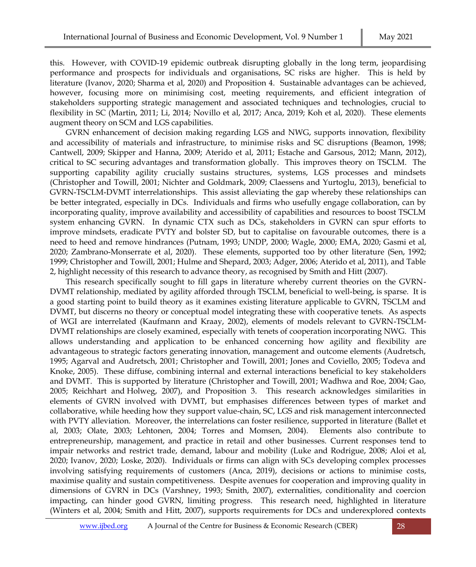this. However, with COVID-19 epidemic outbreak disrupting globally in the long term, jeopardising performance and prospects for individuals and organisations, SC risks are higher. This is held by literature (Ivanov, 2020; Sharma et al, 2020) and Proposition 4. Sustainable advantages can be achieved, however, focusing more on minimising cost, meeting requirements, and efficient integration of stakeholders supporting strategic management and associated techniques and technologies, crucial to flexibility in SC (Martin, 2011; Li, 2014; Novillo et al, 2017; Anca, 2019; Koh et al, 2020). These elements augment theory on SCM and LGS capabilities.

GVRN enhancement of decision making regarding LGS and NWG, supports innovation, flexibility and accessibility of materials and infrastructure, to minimise risks and SC disruptions (Beamon, 1998; Cantwell, 2009; Skipper and Hanna, 2009; Aterido et al, 2011; Estache and Garsous, 2012; Mann, 2012), critical to SC securing advantages and transformation globally. This improves theory on TSCLM. The supporting capability agility crucially sustains structures, systems, LGS processes and mindsets (Christopher and Towill, 2001; Nichter and Goldmark, 2009; Claessens and Yurtoglu, 2013), beneficial to GVRN-TSCLM-DVMT interrelationships. This assist alleviating the gap whereby these relationships can be better integrated, especially in DCs. Individuals and firms who usefully engage collaboration, can by incorporating quality, improve availability and accessibility of capabilities and resources to boost TSCLM system enhancing GVRN. In dynamic CTX such as DCs, stakeholders in GVRN can spur efforts to improve mindsets, eradicate PVTY and bolster SD, but to capitalise on favourable outcomes, there is a need to heed and remove hindrances (Putnam, 1993; UNDP, 2000; Wagle, 2000; EMA, 2020; Gasmi et al, 2020; Zambrano-Monserrate et al, 2020). These elements, supported too by other literature (Sen, 1992; 1999; Christopher and Towill, 2001; Hulme and Shepard, 2003; Adger, 2006; Aterido et al, 2011), and Table 2, highlight necessity of this research to advance theory, as recognised by Smith and Hitt (2007).

This research specifically sought to fill gaps in literature whereby current theories on the GVRN-DVMT relationship, mediated by agility afforded through TSCLM, beneficial to well-being, is sparse. It is a good starting point to build theory as it examines existing literature applicable to GVRN, TSCLM and DVMT, but discerns no theory or conceptual model integrating these with cooperative tenets. As aspects of WGI are interrelated (Kaufmann and Kraay, 2002), elements of models relevant to GVRN-TSCLM-DVMT relationships are closely examined, especially with tenets of cooperation incorporating NWG. This allows understanding and application to be enhanced concerning how agility and flexibility are advantageous to strategic factors generating innovation, management and outcome elements (Audretsch, 1995; Agarval and Audretsch, 2001; Christopher and Towill, 2001; Jones and Coviello, 2005; Todeva and Knoke, 2005). These diffuse, combining internal and external interactions beneficial to key stakeholders and DVMT. This is supported by literature (Christopher and Towill, 2001; Wadhwa and Roe, 2004; Gao, 2005; [Reichhart a](https://www.emerald.com/insight/search?q=Andreas%20Reichhart)nd [Holweg,](https://www.emerald.com/insight/search?q=Matthias%20Holweg) 2007), and Proposition 3. This research acknowledges similarities in elements of GVRN involved with DVMT, but emphasises differences between types of market and collaborative, while heeding how they support value-chain, SC, LGS and risk management interconnected with PVTY alleviation. Moreover, the interrelations can foster resilience, supported in literature (Ballet et al, 2003; Olate, 2003; Lehtonen, 2004; Torres and Momsen, 2004). Elements also contribute to entrepreneurship, management, and practice in retail and other businesses. Current responses tend to impair networks and restrict trade, demand, labour and mobility (Luke and Rodrigue, 2008; Aloi et al, 2020; Ivanov, 2020; Loske, 2020). Individuals or firms can align with SCs developing complex processes involving satisfying requirements of customers (Anca, 2019), decisions or actions to minimise costs, maximise quality and sustain competitiveness. Despite avenues for cooperation and improving quality in dimensions of GVRN in DCs (Varshney, 1993; Smith, 2007), externalities, conditionality and coercion impacting, can hinder good GVRN, limiting progress. This research need, highlighted in literature (Winters et al, 2004; Smith and Hitt, 2007), supports requirements for DCs and underexplored contexts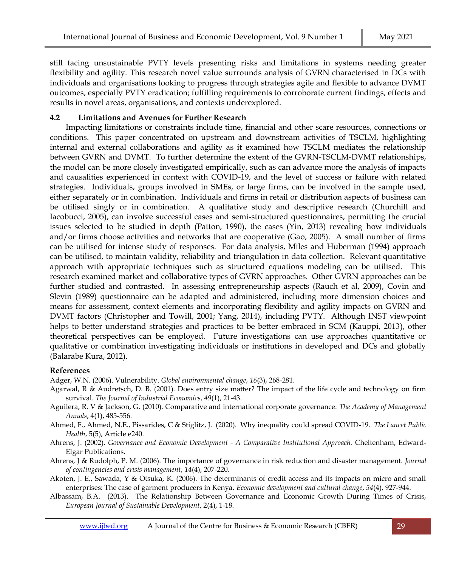still facing unsustainable PVTY levels presenting risks and limitations in systems needing greater flexibility and agility. This research novel value surrounds analysis of GVRN characterised in DCs with individuals and organisations looking to progress through strategies agile and flexible to advance DVMT outcomes, especially PVTY eradication; fulfilling requirements to corroborate current findings, effects and results in novel areas, organisations, and contexts underexplored.

## **4.2 Limitations and Avenues for Further Research**

Impacting limitations or constraints include time, financial and other scare resources, connections or conditions. This paper concentrated on upstream and downstream activities of TSCLM, highlighting internal and external collaborations and agility as it examined how TSCLM mediates the relationship between GVRN and DVMT. To further determine the extent of the GVRN-TSCLM-DVMT relationships, the model can be more closely investigated empirically, such as can advance more the analysis of impacts and causalities experienced in context with COVID-19, and the level of success or failure with related strategies. Individuals, groups involved in SMEs, or large firms, can be involved in the sample used, either separately or in combination. Individuals and firms in retail or distribution aspects of business can be utilised singly or in combination. A qualitative study and descriptive research (Churchill and Iacobucci, 2005), can involve successful cases and semi-structured questionnaires, permitting the crucial issues selected to be studied in depth (Patton, 1990), the cases (Yin, 2013) revealing how individuals and/or firms choose activities and networks that are cooperative (Gao, 2005). A small number of firms can be utilised for intense study of responses. For data analysis, Miles and Huberman (1994) approach can be utilised, to maintain validity, reliability and triangulation in data collection. Relevant quantitative approach with appropriate techniques such as structured equations modeling can be utilised. This research examined market and collaborative types of GVRN approaches. Other GVRN approaches can be further studied and contrasted. In assessing entrepreneurship aspects (Rauch et al, 2009), Covin and Slevin (1989) questionnaire can be adapted and administered, including more dimension choices and means for assessment, context elements and incorporating flexibility and agility impacts on GVRN and DVMT factors (Christopher and Towill, 2001; Yang, 2014), including PVTY. Although INST viewpoint helps to better understand strategies and practices to be better embraced in SCM (Kauppi, 2013), other theoretical perspectives can be employed. Future investigations can use approaches quantitative or qualitative or combination investigating individuals or institutions in developed and DCs and globally (Balarabe Kura, 2012).

## **References**

Adger, W.N. (2006). Vulnerability. *Global environmental change*, *16*(3), 268-281.

- Agarwal, R & Audretsch, D. B. (2001). Does entry size matter? The impact of the life cycle and technology on firm survival. *The Journal of Industrial Economics*, *49*(1), 21-43.
- Aguilera, R. V & Jackson, G. (2010). Comparative and international corporate governance. *The Academy of Management Annals*, 4(1), 485-556.
- Ahmed, F., Ahmed, N.E., Pissarides, C & Stiglitz, J. (2020). Why inequality could spread COVID-19. *The Lancet Public Health*, 5(5), Article e240.
- Ahrens, J. (2002). *Governance and Economic Development - A Comparative Institutional Approach.* Cheltenham, Edward-Elgar Publications.
- Ahrens, J & Rudolph, P. M. (2006). The importance of governance in risk reduction and disaster management. *Journal of contingencies and crisis management*, *14*(4), 207-220.
- Akoten, J. E., Sawada, Y & Otsuka, K. (2006). The determinants of credit access and its impacts on micro and small enterprises: The case of garment producers in Kenya. *Economic development and cultural change*, *54*(4), 927-944.
- Albassam, B.A. (2013). The Relationship Between Governance and Economic Growth During Times of Crisis, *European Journal of Sustainable Development*, 2(4), 1-18.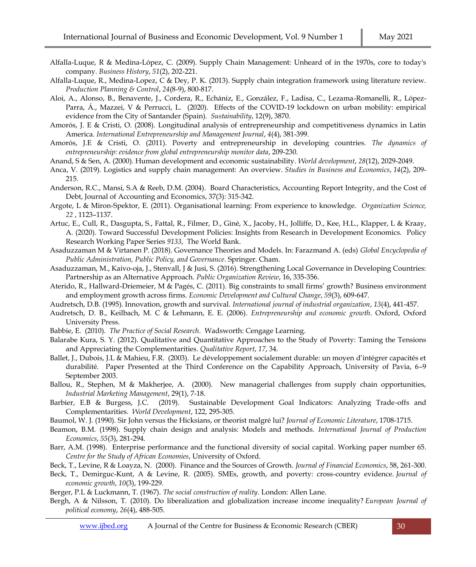- Alfalla-Luque, R & Medina-López, C. (2009). Supply Chain Management: Unheard of in the 1970s, core to today's company. *Business History*, *51*(2), 202-221.
- Alfalla-Luque, R., Medina-Lopez, C & Dey, P. K. (2013). Supply chain integration framework using literature review. *Production Planning & Control*, *24*(8-9), 800-817.
- Aloi, A., Alonso, B., Benavente, J., Cordera, R., Echániz, E., González, F., Ladisa, C., Lezama-Romanelli, R., López-Parra, Á., Mazzei, V & Perrucci, L. (2020). Effects of the COVID-19 lockdown on urban mobility: empirical evidence from the City of Santander (Spain). *Sustainability*, 12(9), 3870.
- Amorós, J. E & Cristi, O. (2008). Longitudinal analysis of entrepreneurship and competitiveness dynamics in Latin America. *International Entrepreneurship and Management Journal*, *4*(4), 381-399.
- Amorós, J.E & Cristi, O. (2011). Poverty and entrepreneurship in developing countries. *The dynamics of entrepreneurship: evidence from global entrepreneurship monitor data*, 209-230.

Anand, S & Sen, A. (2000). Human development and economic sustainability. *World development*, *28*(12), 2029-2049.

- Anca, V. (2019). Logistics and supply chain management: An overview. *Studies in Business and Economics*, *14*(2), 209- 215.
- Anderson, R.C., Mansi, S.A & Reeb, D.M. (2004). Board Characteristics, Accounting Report Integrity, and the Cost of Debt, Journal of Accounting and Economics, 37(3): 315-342.
- Argote, L & Miron-Spektor, E. (2011). Organisational learning: From experience to knowledge. *Organization Science, 22* , 1123–1137.
- Artuc, E., Cull, R., Dasgupta, S., Fattal, R., Filmer, D., Giné, X., Jacoby, H., Jolliffe, D., Kee, H.L., Klapper, L & Kraay, A. (2020). Toward Successful Development Policies: Insights from Research in Development Economics. [Policy](https://ideas.repec.org/s/wbk/wbrwps.html)  [Research Working Paper Series](https://ideas.repec.org/s/wbk/wbrwps.html) *9133*, The World Bank.
- Asaduzzaman M & Virtanen P. (2018). Governance Theories and Models. In: Farazmand A. (eds) *Global Encyclopedia of Public Administration, Public Policy, and Governance*. Springer. Cham.
- Asaduzzaman, M., Kaivo-oja, J., Stenvall, J & Jusi, S. (2016). Strengthening Local Governance in Developing Countries: Partnership as an Alternative Approach. *Public Organization Review*, 16, 335-356.
- Aterido, R., Hallward-Driemeier, M & Pagés, C. (2011). Big constraints to small firms' growth? Business environment and employment growth across firms. *Economic Development and Cultural Change*, *59*(3), 609-647.
- Audretsch, D.B. (1995). Innovation, growth and survival. *International journal of industrial organization*, *13*(4), 441-457.
- Audretsch, D. B., Keilbach, M. C & Lehmann, E. E. (2006). *Entrepreneurship and economic growth*. Oxford, Oxford University Press.
- Babbie, E. (2010). *The Practice of Social Research*. Wadsworth: Cengage Learning.
- Balarabe Kura, S. Y. (2012). Qualitative and Quantitative Approaches to the Study of Poverty: Taming the Tensions and Appreciating the Complementarities. *Qualitative Report*, *17*, 34.
- Ballet, J., Dubois, J.L & Mahieu, F.R. (2003). Le développement socialement durable: un moyen d'intégrer capacités et durabilité. Paper Presented at the Third Conference on the Capability Approach, University of Pavia, 6–9 September 2003.
- Ballou, R., Stephen, M & Makherjee, A. (2000). New managerial challenges from supply chain opportunities, *Industrial Marketing Management*, 29(1), 7-18.
- Barbier, E.B & Burgess, J.C. (2019). Sustainable Development Goal Indicators: Analyzing Trade-offs and Complementarities. *World Development*, 122, 295-305.
- Baumol, W. J. (1990). Sir John versus the Hicksians, or theorist malgré lui? *Journal of Economic Literature*, 1708-1715.
- Beamon, B.M. (1998). Supply chain design and analysis: Models and methods. *International Journal of Production Economics*, *55*(3), 281-294.
- Barr, A.M. (1998). Enterprise performance and the functional diversity of social capital. Working paper number 65. *Centre for the Study of African Economies*, University of Oxford.
- Beck, T., Levine, R & Loayza, N. (2000). Finance and the Sources of Growth. *Journal of Financial Economics*, 58, 261-300.
- Beck, T., Demirguc-Kunt, A & Levine, R. (2005). SMEs, growth, and poverty: cross-country evidence. *Journal of economic growth*, *10*(3), 199-229.
- Berger, P.L & Luckmann, T. (1967). *The social construction of reality*. London: Allen Lane.
- Bergh, A & Nilsson, T. (2010). Do liberalization and globalization increase income inequality? *European Journal of political economy*, *26*(4), 488-505.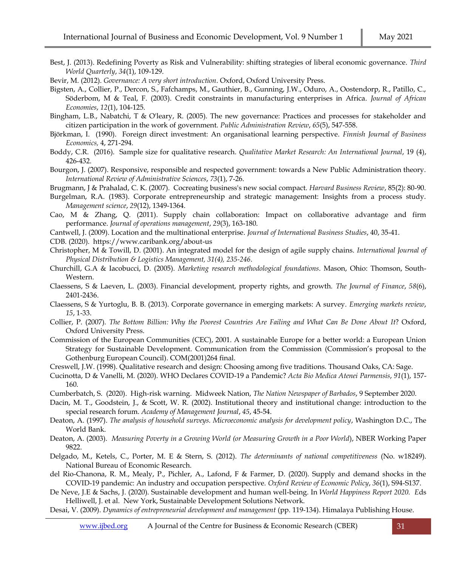Best, J. (2013). Redefining Poverty as Risk and Vulnerability: shifting strategies of liberal economic governance. *Third World Quarterly*, *34*(1), 109-129.

Bevir, M. (2012). *Governance: A very short introduction*. Oxford, Oxford University Press.

Bigsten, A., Collier, P., Dercon, S., Fafchamps, M., Gauthier, B., Gunning, J.W., Oduro, A., Oostendorp, R., Patillo, C., Söderbom, M & Teal, F. (2003). Credit constraints in manufacturing enterprises in Africa. *Journal of African Economies*, *12*(1), 104-125.

Bingham, L.B., Nabatchi, T & O'leary, R. (2005). The new governance: Practices and processes for stakeholder and citizen participation in the work of government. *Public Administration Review*, *65*(5), 547-558.

- Björkman, I. (1990). Foreign direct investment: An organisational learning perspective. *Finnish Journal of Business Economics,* 4, 271-294.
- Boddy, C.R. (2016). Sample size for qualitative research. *Qualitative Market Research: An International Journal*, 19 (4), 426-432.

Bourgon, J. (2007). Responsive, responsible and respected government: towards a New Public Administration theory. *International Review of Administrative Sciences*, *73*(1), 7-26.

Brugmann, J & Prahalad, C. K. (2007). Cocreating business's new social compact. *Harvard Business Review*, 85(2): 80-90.

- Burgelman, R.A. (1983). Corporate entrepreneurship and strategic management: Insights from a process study. *Management science*, *29*(12), 1349-1364.
- Cao, M & Zhang, Q. (2011). Supply chain collaboration: Impact on collaborative advantage and firm performance. *Journal of operations management*, *29*(3), 163-180.

Cantwell, J. (2009). Location and the multinational enterprise. *Journal of International Business Studies*, 40, 35-41.

- CDB. (2020).<https://www.caribank.org/about-us>
- Christopher, M & Towill, D. (2001). An integrated model for the design of agile supply chains. *International Journal of Physical Distribution & Logistics Management, 31(4), 235-246*.
- Churchill, G.A & Iacobucci, D. (2005). *Marketing research methodological foundations*. Mason, Ohio: Thomson, South-Western.
- Claessens, S & Laeven, L. (2003). Financial development, property rights, and growth. *The Journal of Finance*, *58*(6), 2401-2436.

Claessens, S & Yurtoglu, B. B. (2013). Corporate governance in emerging markets: A survey. *Emerging markets review*, *15*, 1-33.

- Collier, P. (2007). *The Bottom Billion: Why the Poorest Countries Are Failing and What Can Be Done About It*? Oxford, Oxford University Press.
- Commission of the European Communities (CEC), 2001. A sustainable Europe for a better world: a European Union Strategy for Sustainable Development. Communication from the Commission (Commission's proposal to the Gothenburg European Council). COM(2001)264 final.

Creswell, J.W. (1998). [Qualitative research and design: Choosing among five traditions. Thousand Oaks, CA: Sage.](https://books.google.co.in/books?id=EbogAQAAQBAJ&printsec=frontcover&dq=Qualitative+research+and+design+Creswell&hl=en&sa=X&ei=jBpnVZmNHc2WuATRvoPICA&ved=0CB0Q6AEwAA#v=onepage&q=Qualitative%20research%20and%20design%20Creswell&f=false)

Cucinotta, D & Vanelli, M. (2020). WHO Declares COVID-19 a Pandemic? *Acta Bio Medica Atenei Parmensis*, *91*(1), 157- 160.

Cumberbatch, S. (2020). High-risk warning. Midweek Nation, *The Nation Newspaper of Barbados*, 9 September 2020.

- Dacin, M. T., Goodstein, J., & Scott, W. R. (2002). Institutional theory and institutional change: introduction to the special research forum. *Academy of Management Journal*, *45*, 45-54.
- Deaton, A. (1997). *The analysis of household surveys. Microeconomic analysis for development policy*, Washington D.C., The World Bank.
- Deaton, A. (2003). *Measuring Poverty in a Growing World (or Measuring Growth in a Poor World*), NBER Working Paper 9822.
- Delgado, M., Ketels, C., Porter, M. E & Stern, S. (2012). *The determinants of national competitiveness* (No. w18249). National Bureau of Economic Research.
- del Rio-Chanona, R. M., Mealy, P., Pichler, A., Lafond, F & Farmer, D. (2020). Supply and demand shocks in the COVID-19 pandemic: An industry and occupation perspective. *Oxford Review of Economic Policy*, *36*(1), S94-S137.

De Neve, J.E & Sachs, J. (2020). Sustainable development and human well-being. In *World Happiness Report 2020. E*ds Helliwell, J. et al. New York, Sustainable Development Solutions Network.

Desai, V. (2009). *Dynamics of entrepreneurial development and management* (pp. 119-134). Himalaya Publishing House.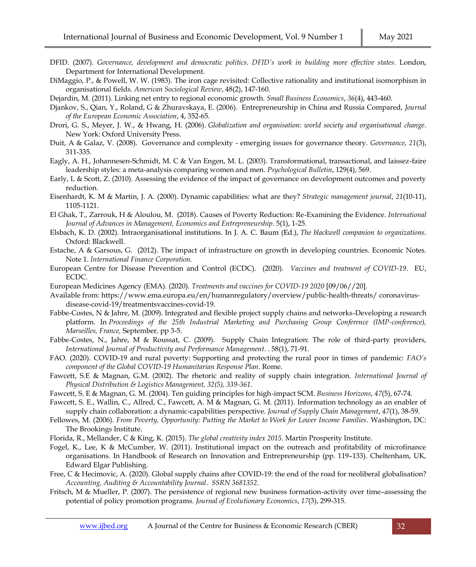- DFID. (2007). *Governance, development and democratic politics. DFID's work in building more effective states*. London, Department for International Development.
- DiMaggio, P., & Powell, W. W. (1983). The iron cage revisited: Collective rationality and institutional isomorphism in organisational fields. *American Sociological Review*, 48(2), 147-160.
- Dejardin, M. (2011). Linking net entry to regional economic growth. *Small Business Economics*, *36*(4), 443-460.
- Djankov, S., Qian, Y., Roland, G & Zhuravskaya, E. (2006). Entrepreneurship in China and Russia Compared, *Journal of the European Economic Association*, 4, 352-65.
- Drori, G. S., Meyer, J. W., & Hwang, H. (2006). *Globalization and organisation: world society and organisational change*. New York: Oxford University Press.
- Duit, A & Galaz, V. (2008). Governance and complexity emerging issues for governance theory. *Governance*, *21*(3), 311-335.
- Eagly, A. H., Johannesen-Schmidt, M. C & Van Engen, M. L. (2003). Transformational, transactional, and laissez-faire leadership styles: a meta-analysis comparing women and men. *Psychological Bulletin*, 129(4), 569.
- Early, L & Scott, Z. (2010). Assessing the evidence of the impact of governance on development outcomes and poverty reduction.
- Eisenhardt, K. M & Martin, J. A. (2000). Dynamic capabilities: what are they? *Strategic management journal*, *21*(10‐11), 1105-1121.
- El Ghak, T., Zarrouk, H & Aloulou, M. (2018). Causes of Poverty Reduction: Re-Examining the Evidence. *International Journal of Advances in Management, Economics and Entrepreneurship*. 5(1), 1-25.
- Elsbach, K. D. (2002). Intraorganisational institutions. In J. A. C. Baum (Ed.), *The blackwell companion to organizations*. Oxford: Blackwell.
- Estache, A & Garsous, G. (2012). The impact of infrastructure on growth in developing countries. Economic Notes. Note 1. *International Finance Corporation.*
- European Centre for Disease Prevention and Control (ECDC). (2020). *Vaccines and treatment of COVID-19*. EU, ECDC.
- European Medicines Agency (EMA). (2020). *Treatments and vaccines for COVID-19 2020* [09/06//20].
- Available from[: https://www.ema.europa.eu/en/humanregulatory/overview/public-health-threats/](https://www.ema.europa.eu/en/humanregulatory/overview/public-health-threats/) coronavirusdisease-covid-19/treatmentsvaccines-covid-19.
- Fabbe-Costes, N & Jahre, M. (2009). Integrated and flexible project supply chains and networks-Developing a research platform. In *Proceedings of the 25th Industrial Marketing and Purchasing Group Conference (IMP-conference)*, *Marseilles, France,* September*,* pp 3-5.
- Fabbe-Costes, N., Jahre, M & Roussat, C. (2009). Supply Chain Integration: The role of third-party providers, *International Journal of Productivity and Performance Management*. . 58(1), 71-91.
- FAO. (2020). COVID-19 and rural poverty: Supporting and protecting the rural poor in times of pandemic: *FAO's component of the Global COVID-19 Humanitarian Response Plan*. Rome.
- Fawcett, S.E & Magnan, G.M. (2002). The rhetoric and reality of supply chain integration. *International Journal of Physical Distribution & Logistics Management, 32(5), 339-361.*
- Fawcett, S. E & Magnan, G. M. (2004). Ten guiding principles for high-impact SCM. *Business Horizons*, *47*(5), 67-74.
- Fawcett, S. E., Wallin, C., Allred, C., Fawcett, A. M & Magnan, G. M. (2011). Information technology as an enabler of supply chain collaboration: a dynamic‐capabilities perspective. *Journal of Supply Chain Management*, *47*(1), 38-59.
- Fellowes, M. (2006). *From Poverty, Opportunity: Putting the Market to Work for Lower Income Families*. Washington, DC: The Brookings Institute.
- Florida, R., Mellander, C & King, K. (2015). *The global creativity index 2015*. Martin Prosperity Institute.
- Fogel, K., Lee, K & McCumber, W. (2011). Institutional impact on the outreach and profitability of microfinance organisations. In Handbook of Research on Innovation and Entrepreneurship (pp. 119–133). Cheltenham, UK, Edward Elgar Publishing.
- Free, C & Hecimovic, A. (2020). Global supply chains after COVID-19: the end of the road for neoliberal globalisation? *Accounting, Auditing & Accountability Journal*. *SSRN 3681352*.
- Fritsch, M & Mueller, P. (2007). The persistence of regional new business formation-activity over time–assessing the potential of policy promotion programs. *Journal of Evolutionary Economics*, *17*(3), 299-315.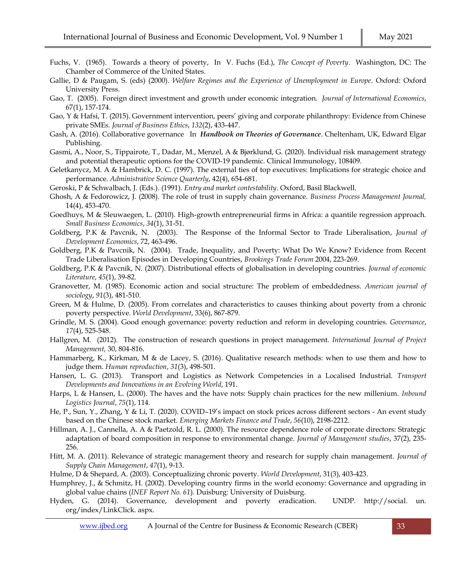- Fuchs, V. (1965). Towards a theory of poverty, In V. Fuchs (Ed.), *The Concept of Poverty*. Washington, DC: The Chamber of Commerce of the United States.
- Gallie, D & Paugam, S. (eds) (2000). *Welfare Regimes and the Experience of Unemployment in Europe*. Oxford: Oxford University Press.
- Gao, T. (2005). Foreign direct investment and growth under economic integration. *Journal of International Economics*, 67(1), 157-174.
- Gao, Y & Hafsi, T. (2015). Government intervention, peers' giving and corporate philanthropy: Evidence from Chinese private SMEs. *Journal of Business Ethics*, *132*(2), 433-447.
- Gash, A. (2016). Collaborative governance In *Handbook on Theories of Governance*. Cheltenham, UK, Edward Elgar Publishing.
- Gasmi, A., Noor, S., Tippairote, T., Dadar, M., Menzel, A & Bjørklund, G. (2020). Individual risk management strategy and potential therapeutic options for the COVID-19 pandemic. Clinical Immunology, 108409.
- Geletkanycz, M. A & Hambrick, D. C. (1997). The external ties of top executives: Implications for strategic choice and performance. *Administrative Science Quarterly*, 42(4), 654-681.
- Geroski, P & Schwalbach, J. (Eds.). (1991). *Entry and market contestability*. Oxford, Basil Blackwell.
- Ghosh, A & Fedorowicz, J. (2008). The role of trust in supply chain governance. *Business Process Management Journal,*  14(4), 453-470.
- Goedhuys, M & Sleuwaegen, L. (2010). High-growth entrepreneurial firms in Africa: a quantile regression approach. *Small Business Economics*, *34*(1), 31-51.
- Goldberg, P.K & Pavcnik, N. (2003). The Response of the Informal Sector to Trade Liberalisation, *Journal of Development Economics*, 72, 463-496.
- Goldberg, P.K & Pavcnik, N. (2004). Trade, Inequality, and Poverty: What Do We Know? Evidence from Recent Trade Liberalisation Episodes in Developing Countries, *Brookings Trade Forum* 2004, 223-269.
- Goldberg, P.K & Pavcnik, N. (2007). Distributional effects of globalisation in developing countries. *Journal of economic Literature*, *45*(1), 39-82.
- Granovetter, M. (1985). Economic action and social structure: The problem of embeddedness. *American journal of sociology*, *91*(3), 481-510.
- Green, M & Hulme, D. (2005). From correlates and characteristics to causes thinking about poverty from a chronic poverty perspective. *World Development*, 33(6), 867-879.
- Grindle, M. S. (2004). Good enough governance: poverty reduction and reform in developing countries. *Governance*, *17*(4), 525-548.
- Hallgren, M. (2012). The construction of research questions in project management. *International Journal of Project Management,* 30, 804-816.
- Hammarberg, K., Kirkman, M & de Lacey, S. (2016). Qualitative research methods: when to use them and how to judge them. *Human reproduction*, *31*(3), 498-501.
- Hansen, L. G. (2013). Transport and Logistics as Network Competencies in a Localised Industrial. *Transport Developments and Innovations in an Evolving World*, 191.
- Harps, L & Hansen, L. (2000). The haves and the have nots: Supply chain practices for the new millenium. *Inbound Logistics Journal*, *75*(1), 114.
- He, P., Sun, Y., Zhang, Y & Li, T. (2020). COVID–19's impact on stock prices across different sectors An event study based on the Chinese stock market. *Emerging Markets Finance and Trade*, *56*(10), 2198-2212.
- Hillman, A. J., Cannella, A. A & Paetzold, R. L. (2000). The resource dependence role of corporate directors: Strategic adaptation of board composition in response to environmental change. *Journal of Management studies*, 37(2), 235- 256.
- Hitt, M. A. (2011). Relevance of strategic management theory and research for supply chain management. *Journal of Supply Chain Management*, *47*(1), 9-13.
- Hulme, D & Shepard, A. (2003). Conceptualizing chronic poverty. *World Development*, 31(3), 403-423.
- Humphrey, J., & Schmitz, H. (2002). Developing country firms in the world economy: Governance and upgrading in global value chains (*INEF Report No. 61*). Duisburg: University of Duisburg.
- Hyden, G. (2014). Governance, development and poverty eradication. UNDP. http://social. un. org/index/LinkClick. aspx.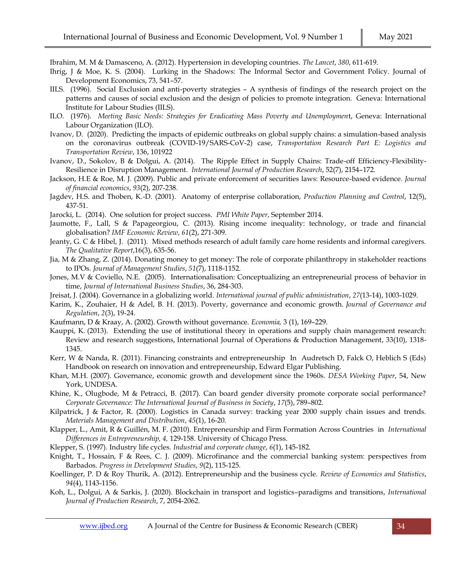Ibrahim, M. M & Damasceno, A. (2012). Hypertension in developing countries. *The Lancet*, *380*, 611-619.

- Ihrig, J & Moe, K. S. (2004). Lurking in the Shadows: The Informal Sector and Government Policy. Journal of Development Economics, 73, 541–57.
- IILS. (1996). Social Exclusion and anti-poverty strategies A synthesis of findings of the research project on the patterns and causes of social exclusion and the design of policies to promote integration. Geneva: International Institute for Labour Studies (IILS).
- ILO. (1976). *Meeting Basic Needs: Strategies for Eradicating Mass Poverty and Unemploymen*t, Geneva: International Labour Organization (ILO).
- Ivanov, D. (2020). Predicting the impacts of epidemic outbreaks on global supply chains: a simulation-based analysis on the coronavirus outbreak (COVID-19/SARS-CoV-2) case, *Transportation Research Part E: Logistics and Transportation Review*, 136, 101922
- Ivanov, D., Sokolov, B & Dolgui, A. (2014). The Ripple Effect in Supply Chains: Trade-off Efficiency-Flexibility-Resilience in Disruption Management. *International Journal of Production Research*, 52(7), 2154–172.
- Jackson, H.E & Roe, M. J. (2009). Public and private enforcement of securities laws: Resource-based evidence. *Journal of financial economics*, *93*(2), 207-238.
- Jagdev, H.S. and Thoben, K.-D. (2001). Anatomy of enterprise collaboration, *Production Planning and Control*, 12(5), 437-51.
- Jarocki, L. (2014). One solution for project success. *PMI White Paper*, September 2014.
- Jaumotte, F., Lall, S & Papageorgiou, C. (2013). Rising income inequality: technology, or trade and financial globalisation? *IMF Economic Review*, *61*(2), 271-309.
- Jeanty, G. C & Hibel, J. (2011). Mixed methods research of adult family care home residents and informal caregivers. *The Qualitative Report*,16(3), 635-56.
- Jia, M & Zhang, Z. (2014). Donating money to get money: The role of corporate philanthropy in stakeholder reactions to IPOs. *Journal of Management Studies*, *51*(7), 1118-1152.
- Jones, M.V & Coviello, N.E. (2005). Internationalisation: Conceptualizing an entrepreneurial process of behavior in time, *Journal of International Business Studies*, 36, 284-303.
- Jreisat, J. (2004). Governance in a globalizing world. *International journal of public administration*, *27*(13-14), 1003-1029.
- Karim, K., Zouhaier, H & Adel, B. H. (2013). Poverty, governance and economic growth. *Journal of Governance and Regulation*, *2*(3), 19-24.
- Kaufmann, D & Kraay, A. (2002). Growth without governance. *Economia,* 3 (1), 169–229.
- [Kauppi, K.](https://www.emerald.com/insight/search?q=Katri%20Kauppi) (2013). Extending the use of institutional theory in operations and supply chain management research: Review and research suggestions, [International Journal of Operations & Production Management,](https://www.emerald.com/insight/publication/issn/0144-3577) 33(10), 1318- 1345.
- Kerr, W & Nanda, R. (2011). Financing constraints and entrepreneurship In Audretsch D, Falck O, Heblich S (Eds) Handbook on research on innovation and entrepreneurship, Edward Elgar Publishing.
- Khan, M.H. (2007). Governance, economic growth and development since the 1960s. *DESA Working Paper*, 54, New York, UNDESA.
- Khine, K., Olugbode, M & Petracci, B. (2017). Can board gender diversity promote corporate social performance? *Corporate Governance: The International Journal of Business in Society*, *17*(5), 789–802.
- Kilpatrick, J & Factor, R. (2000). Logistics in Canada survey: tracking year 2000 supply chain issues and trends. *Materials Management and Distribution*, *45*(1), 16-20.
- Klapper, L., Amit, R & Guillén, M. F. (2010). Entrepreneurship and Firm Formation Across Countries in *International Differences in Entrepreneurship, 4,* 129-158. University of Chicago Press.
- Klepper, S. (1997). Industry life cycles. *Industrial and corporate change*, *6*(1), 145-182.
- Knight, T., Hossain, F & Rees, C. J. (2009). Microfinance and the commercial banking system: perspectives from Barbados. *Progress in Development Studies*, *9*(2), 115-125.
- Koellinger, P. D & Roy Thurik, A. (2012). Entrepreneurship and the business cycle. *Review of Economics and Statistics*, *94*(4), 1143-1156.
- Koh, L., Dolgui, A & Sarkis, J. (2020). Blockchain in transport and logistics–paradigms and transitions, *International Journal of Production Research*, 7, 2054-2062.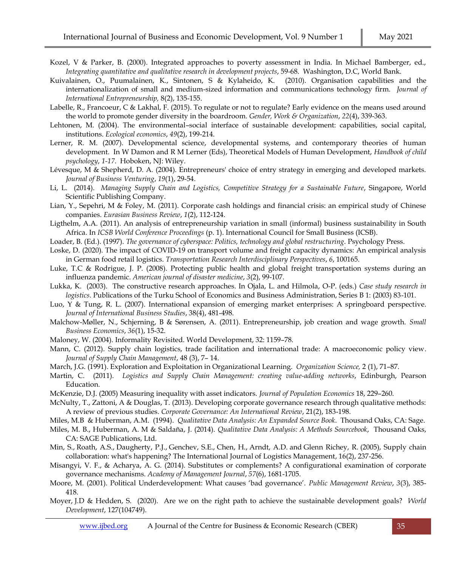- Kozel, V & Parker, B. (2000). Integrated approaches to poverty assessment in India. In Michael Bamberger, ed., *Integrating quantitative and qualitative research in development projects*, 59-68. Washington, D.C, World Bank.
- Kuivalainen, O., Puumalainen, K., Sintonen, S & Kylaheido, K. (2010). Organisation capabilities and the internationalization of small and medium-sized information and communications technology firm. *Journal of International Entrepreneurship,* 8(2), 135-155.
- Labelle, R., Francoeur, C & Lakhal, F. (2015). To regulate or not to regulate? Early evidence on the means used around the world to promote gender diversity in the boardroom. *Gender, Work & Organization*, *22*(4), 339-363.
- Lehtonen, M. (2004). The environmental–social interface of sustainable development: capabilities, social capital, institutions. *Ecological economics*, *49*(2), 199-214.
- Lerner, R. M. (2007). Developmental science, developmental systems, and contemporary theories of human development. In W Damon and R M Lerner (Eds), Theoretical Models of Human Development, *Handbook of child psychology*, *1-17*. Hoboken, NJ: Wiley.
- Lévesque, M & Shepherd, D. A. (2004). Entrepreneurs' choice of entry strategy in emerging and developed markets. *Journal of Business Venturing*, *19*(1), 29-54.
- Li, L. (2014). *Managing Supply Chain and Logistics, Competitive Strategy for a Sustainable Future*, Singapore, World Scientific Publishing Company.
- Lian, Y., Sepehri, M & Foley, M. (2011). Corporate cash holdings and financial crisis: an empirical study of Chinese companies. *Eurasian Business Review*, *1*(2), 112-124.
- Ligthelm, A.A. (2011). An analysis of entrepreneurship variation in small (informal) business sustainability in South Africa. In *ICSB World Conference Proceedings* (p. 1). International Council for Small Business (ICSB).
- Loader, B. (Ed.). (1997). *The governance of cyberspace: Politics, technology and global restructuring*. Psychology Press.
- Loske, D. (2020). The impact of COVID-19 on transport volume and freight capacity dynamics: An empirical analysis in German food retail logistics. *Transportation Research Interdisciplinary Perspectives*, *6*, 100165.
- Luke, T.C & Rodrigue, J. P. (2008). Protecting public health and global freight transportation systems during an influenza pandemic. *American journal of disaster medicine*, *3*(2), 99-107.
- Lukka, K. (2003). The constructive research approaches. In Ojala, L. and Hilmola, O-P. (eds.) *Case study research in logistics*. Publications of the Turku School of Economics and Business Administration, Series B 1: (2003) 83-101.
- Luo, Y & Tung, R. L. (2007). International expansion of emerging market enterprises: A springboard perspective. *Journal of International Business Studies*, 38(4), 481-498.
- Malchow-Møller, N., Schjerning, B & Sørensen, A. (2011). Entrepreneurship, job creation and wage growth. *Small Business Economics*, *36*(1), 15-32.
- Maloney, W. (2004). Informality Revisited. World Development, 32: 1159–78.
- Mann, C. (2012). Supply chain logistics, trade facilitation and international trade: A macroeconomic policy view. *Journal of Supply Chain Management*, 48 (3), 7– 14.
- March, J.G. (1991). Exploration and Exploitation in Organizational Learning. *Organization Science,* 2 (1), 71–87.
- Martin, C. (2011). *Logistics and Supply Chain Management: creating value-adding networks*, Edinburgh, Pearson Education.
- McKenzie, D.J. (2005) Measuring inequality with asset indicators. *Journal of Population Economics* 18, 229–260.
- McNulty, T., Zattoni, A & Douglas, T. (2013). Developing corporate governance research through qualitative methods: A review of previous studies. *Corporate Governance: An International Review*, 21(2), 183-198.
- Miles, M.B & Huberman, A.M. (1994). *Qualitative Data Analysis: An Expanded Source Book*. Thousand Oaks, CA: Sage.
- Miles, M. B., Huberman, A. M & Saldaña, J. (2014). *Qualitative Data Analysis: A Methods Sourcebook*, Thousand Oaks, CA: SAGE Publications, Ltd.
- [Min, S.,](https://www.emerald.com/insight/search?q=Soonhong%20Min) [Roath, A.S.,](https://www.emerald.com/insight/search?q=Anthony%20S.%20Roath) [Daugherty, P.J.,](https://www.emerald.com/insight/search?q=Patricia%20J.%20Daugherty) [Genchev, S.E.,](https://www.emerald.com/insight/search?q=Stefan%20E.%20Genchev) [Chen, H.,](https://www.emerald.com/insight/search?q=Haozhe%20Chen) [Arndt, A.D.](https://www.emerald.com/insight/search?q=Aaron%20D.%20Arndt) and [Glenn Richey, R.](https://www.emerald.com/insight/search?q=R.%20Glenn%20Richey) (2005), Supply chain collaboration: what's happening? [The International Journal of Logistics Management,](https://www.emerald.com/insight/publication/issn/0957-4093) 16(2), 237-256.
- Misangyi, V. F., & Acharya, A. G. (2014). Substitutes or complements? A configurational examination of corporate governance mechanisms. *Academy of Management Journal*, *57*(6), 1681-1705.
- Moore, M. (2001). Political Underdevelopment: What causes 'bad governance'. *Public Management Review*, *3*(3), 385- 418.
- Moyer, J.D & Hedden, S. (2020). Are we on the right path to achieve the sustainable development goals? *World Development*, 127(104749).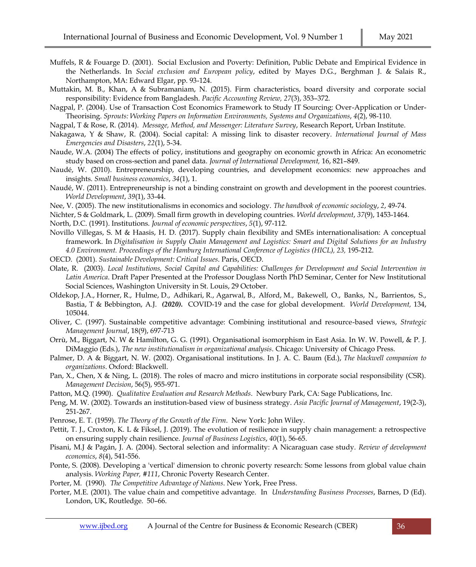- Muffels, R & Fouarge D. (2001). Social Exclusion and Poverty: Definition, Public Debate and Empirical Evidence in the Netherlands. In *Social exclusion and European policy*, edited by Mayes D.G., Berghman J. & Salais R., Northampton, MA: Edward Elgar, pp. 93-124.
- Muttakin, M. B., Khan, A & Subramaniam, N. (2015). Firm characteristics, board diversity and corporate social responsibility: Evidence from Bangladesh. *Pacific Accounting Review, 27*(3), 353–372.
- Nagpal, P. (2004). Use of Transaction Cost Economics Framework to Study IT Sourcing: Over-Application or Under-Theorising. *Sprouts: Working Papers on Information Environments, Systems and Organizations*, *4*(2), 98-110.
- Nagpal, T & Rose, R. (2014). *Message, Method, and Messenger: Literature Survey*, Research Report, Urban Institute.
- Nakagawa, Y & Shaw, R. (2004). Social capital: A missing link to disaster recovery. *International Journal of Mass Emergencies and Disasters*, *22*(1), 5-34.
- Naude, W.A. (2004) The effects of policy, institutions and geography on economic growth in Africa: An econometric study based on cross-section and panel data. *Journal of International Development,* 16, 821–849.
- Naudé, W. (2010). Entrepreneurship, developing countries, and development economics: new approaches and insights. *Small business economics*, *34*(1), 1.
- Naudé, W. (2011). Entrepreneurship is not a binding constraint on growth and development in the poorest countries. *World Development*, *39*(1), 33-44.
- Nee, V. (2005). The new institutionalisms in economics and sociology. *The handbook of economic sociology*, *2*, 49-74.
- Nichter, S & Goldmark, L. (2009). Small firm growth in developing countries. *World development*, *37*(9), 1453-1464.

North, D.C. (1991). Institutions. *Journal of economic perspectives*, *5*(1), 97-112.

- Novillo Villegas, S. M & Haasis, H. D. (2017). Supply chain flexibility and SMEs internationalisation: A conceptual framework. In *Digitalisation in Supply Chain Management and Logistics: Smart and Digital Solutions for an Industry*  4.0 Environment. Proceedings of the Hamburg International Conference of Logistics (HICL), 23, 195-212.
- OECD. (2001). *Sustainable Development: Critical Issues*. Paris, OECD.
- Olate, R. (2003). *Local Institutions, Social Capital and Capabilities: Challenges for Development and Social Intervention in Latin America*. Draft Paper Presented at the Professor Douglass North PhD Seminar, Center for New Institutional Social Sciences, Washington University in St. Louis, 29 October.
- Oldekop, J.A., Horner, R., Hulme, D., Adhikari, R., Agarwal, B., Alford, M., Bakewell, O., Banks, N., Barrientos, S., Bastia, T & Bebbington, A.J. *(2020).* COVID-19 and the case for global development. *World Development,* 134, 105044.
- Oliver, C. (1997). Sustainable competitive advantage: Combining institutional and resource-based views, *Strategic Management Journal*, 18(9), 697-713
- Orrù, M., Biggart, N. W & Hamilton, G. G. (1991). Organisational isomorphism in East Asia. In W. W. Powell, & P. J. DiMaggio (Eds.), *The new institutionalism in organizational analysis*. Chicago: University of Chicago Press.
- Palmer, D. A & Biggart, N. W. (2002). Organisational institutions. In J. A. C. Baum (Ed.), *The blackwell companion to organizations*. Oxford: Blackwell.
- Pan, X., Chen, X & Ning, L. (2018). The roles of macro and micro institutions in corporate social responsibility (CSR). *Management Decision*, 56(5), 955-971.
- Patton, M.Q. (1990). *Qualitative Evaluation and Research Methods*. Newbury Park, CA: Sage Publications, Inc.
- Peng, M. W. (2002). Towards an institution-based view of business strategy. *Asia Pacific Journal of Management*, 19(2-3), 251-267.
- Penrose, E. T. (1959). *The Theory of the Growth of the Firm*. New York: John Wiley.
- Pettit, T. J., Croxton, K. L & Fiksel, J. (2019). The evolution of resilience in supply chain management: a retrospective on ensuring supply chain resilience. *Journal of Business Logistics*, *40*(1), 56-65.
- Pisani, M.J & Pagán, J. A. (2004). Sectoral selection and informality: A Nicaraguan case study. *Review of development economics*, *8*(4), 541-556.
- Ponte, S. (2008). Developing a 'vertical' dimension to chronic poverty research: Some lessons from global value chain analysis. *Working Paper, #111*, Chronic Poverty Research Center.
- Porter, M. (1990). *The Competitive Advantage of Nations*. New York, Free Press.
- Porter, M.E. (2001). The value chain and competitive advantage. In *Understanding Business Processes*, Barnes, D (Ed). London, UK, Routledge. 50–66.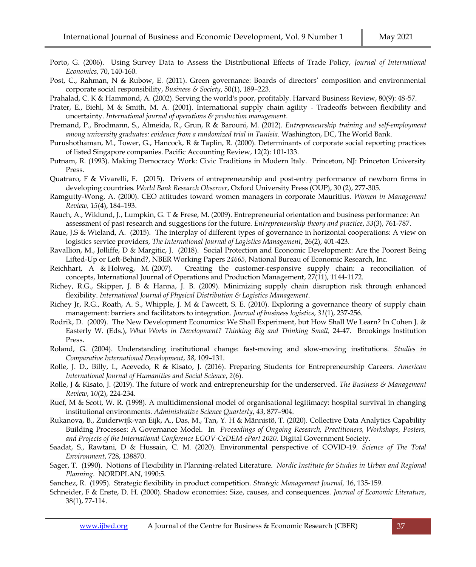- Porto, G. (2006). Using Survey Data to Assess the Distributional Effects of Trade Policy, *Journal of International Economics,* 70, 140-160.
- Post, C., Rahman, N & Rubow, E. (2011). Green governance: Boards of directors' composition and environmental corporate social responsibility, *Business & Society*, 50(1), 189–223.
- Prahalad, C. K & Hammond, A. (2002). Serving the world's poor, profitably. Harvard Business Review, 80(9): 48-57.
- Prater, E., Biehl, M & Smith, M. A. (2001). International supply chain agility ‐ Tradeoffs between flexibility and uncertainty. *International journal of operations & production management*.
- Premand, P., Brodmann, S., Almeida, R., Grun, R & Barouni, M. (2012). *Entrepreneurship training and self-employment among university graduates: evidence from a randomized trial in Tunisia*. Washington, DC, The World Bank.
- Purushothaman, M., Tower, G., Hancock, R & Taplin, R. (2000). Determinants of corporate social reporting practices of listed Singapore companies. Pacific Accounting Review, 12(2): 101-133.
- Putnam, R. (1993). Making Democracy Work: Civic Traditions in Modern Italy. Princeton, NJ: Princeton University Press.
- Quatraro, F & Vivarelli, F. (2015). Drivers of entrepreneurship and post-entry performance of newborn firms in developing countries. *World Bank Research Observer*, Oxford University Press (OUP), 30 (2), 277-305.
- Ramgutty-Wong, A. (2000). CEO attitudes toward women managers in corporate Mauritius. *Women in Management Review, 15*(4), 184–193.
- Rauch, A., Wiklund, J., Lumpkin, G. T & Frese, M. (2009). Entrepreneurial orientation and business performance: An assessment of past research and suggestions for the future. *Entrepreneurship theory and practice*, *33*(3), 761-787.
- Raue, J.S & Wieland, A. (2015). The interplay of different types of governance in horizontal cooperations: A view on logistics service providers, *The International Journal of Logistics Management*, 26(2), 401-423.
- Ravallion, M., Jolliffe, D & Margitic, J. (2018). [Social Protection and Economic Development: Are the Poorest Being](https://ideas.repec.org/p/nbr/nberwo/24665.html)  [Lifted-Up or Left-Behind?,](https://ideas.repec.org/p/nbr/nberwo/24665.html) [NBER Working Papers](https://ideas.repec.org/s/nbr/nberwo.html) *24665*, National Bureau of Economic Research, Inc.
- [Reichhart, A &](https://www.emerald.com/insight/search?q=Andreas%20Reichhart) [Holweg, M.](https://www.emerald.com/insight/search?q=Matthias%20Holweg) (2007). Creating the customer-responsive supply chain: a reconciliation of concepts, [International Journal of Operations and Production Management,](https://www.emerald.com/insight/publication/issn/0144-3577) 27(11), 1144-1172.
- Richey, R.G., Skipper, J. B & Hanna, J. B. (2009). Minimizing supply chain disruption risk through enhanced flexibility. *International Journal of Physical Distribution & Logistics Management*.
- Richey Jr, R.G., Roath, A. S., Whipple, J. M & Fawcett, S. E. (2010). Exploring a governance theory of supply chain management: barriers and facilitators to integration. *Journal of business logistics*, *31*(1), 237-256.
- Rodrik, D. (2009). The New Development Economics: We Shall Experiment, but How Shall We Learn? In Cohen J. & Easterly W. (Eds.), *What Works in Development? Thinking Big and Thinking Small,* 24-47. Brookings Institution Press.
- Roland, G. (2004). Understanding institutional change: fast-moving and slow-moving institutions. *Studies in Comparative International Development*, *38*, 109–131.
- Rolle, J. D., Billy, I., Acevedo, R & Kisato, J. (2016). Preparing Students for Entrepreneurship Careers. *American International Journal of Humanities and Social Science*, *2*(6).
- Rolle, J & Kisato, J. (2019). The future of work and entrepreneurship for the underserved. *The Business & Management Review*, *10*(2), 224-234.
- Ruef, M & Scott, W. R. (1998). A multidimensional model of organisational legitimacy: hospital survival in changing institutional environments. *Administrative Science Quarterly*, *43*, 877–904.
- Rukanova, B., Zuiderwijk-van Eijk, A., Das, M., Tan, Y. H & Männistö, T. (2020). Collective Data Analytics Capability Building Processes: A Governance Model. In *Proceedings of Ongoing Research, Practitioners, Workshops, Posters, and Projects of the International Conference EGOV-CeDEM-ePart 2020*. Digital Government Society.
- Saadat, S., Rawtani, D & Hussain, C. M. (2020). Environmental perspective of COVID-19. *Science of The Total Environment*, 728, 138870.
- Sager, T. (1990). Notions of Flexibility in Planning-related Literature. *Nordic Institute for Studies in Urban and Regional Planning*. NORDPLAN, 1990:5.
- Sanchez, R. (1995). Strategic flexibility in product competition. *Strategic Management Journal,* 16, 135-159.
- Schneider, F & Enste, D. H. (2000). Shadow economies: Size, causes, and consequences. *Journal of Economic Literature*, 38(1), 77-114.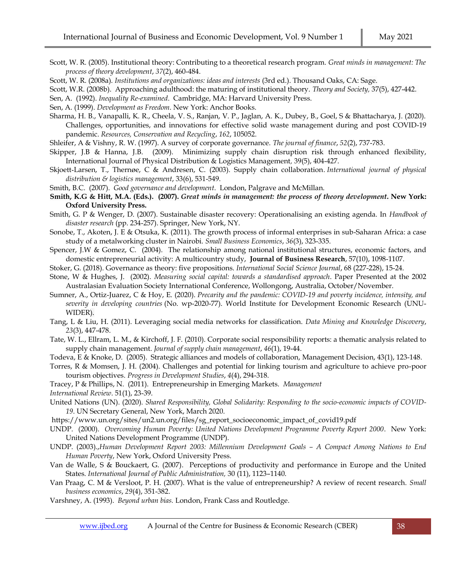- Scott, W. R. (2005). Institutional theory: Contributing to a theoretical research program. *Great minds in management: The process of theory development*, *37*(2), 460-484.
- Scott, W. R. (2008a). *Institutions and organizations: ideas and interests* (3rd ed.). Thousand Oaks, CA: Sage.
- Scott, W.R. (2008b). Approaching adulthood: the maturing of institutional theory. *Theory and Society,* 37(5), 427-442.
- Sen, A. (1992). *Inequality Re-examined*. Cambridge, MA: Harvard University Press.

Sen, A. (1999). *Development as Freedom*. New York: Anchor Books.

- Sharma, H. B., Vanapalli, K. R., Cheela, V. S., Ranjan, V. P., Jaglan, A. K., Dubey, B., Goel, S & Bhattacharya, J. (2020). Challenges, opportunities, and innovations for effective solid waste management during and post COVID-19 pandemic. *Resources, Conservation and Recycling*, *162*, 105052.
- Shleifer, A & Vishny, R. W. (1997). A survey of corporate governance. *The journal of finance*, *52*(2), 737-783.
- [Skipper, J.B &](https://www.emerald.com/insight/search?q=Joseph%20B.%20Skipper) [Hanna, J.B.](https://www.emerald.com/insight/search?q=Joe%20B.%20Hanna) (2009). Minimizing supply chain disruption risk through enhanced flexibility, [International Journal of Physical Distribution & Logistics Management](https://www.emerald.com/insight/publication/issn/0960-0035)*,* 39(5), 404-427.
- Skjoett-Larsen, T., Thernøe, C & Andresen, C. (2003). Supply chain collaboration. *International journal of physical distribution & logistics management*, 33(6), 531-549.

Smith, B.C. (2007). *Good governance and development*. London, Palgrave and McMillan.

- **Smith, K.G & Hitt, M.A. (Eds.). (2007).** *Great minds in management: the process of theory development***. New York: Oxford University Press.**
- Smith, G. P & Wenger, D. (2007). Sustainable disaster recovery: Operationalising an existing agenda. In *Handbook of disaster research* (pp. 234-257). Springer, New York, NY.
- Sonobe, T., Akoten, J. E & Otsuka, K. (2011). The growth process of informal enterprises in sub-Saharan Africa: a case study of a metalworking cluster in Nairobi. *Small Business Economics*, *36*(3), 323-335.
- Spencer, J.W & Gomez, C. (2004). The relationship among national institutional structures, economic factors, and domestic entrepreneurial activity: A multicountry study, **[Journal of Business Research](https://www.researchgate.net/journal/0148-2963_Journal_of_Business_Research)**, 57(10), 1098-1107.

Stoker, G. (2018). Governance as theory: five propositions. *International Social Science Journal*, 68 (227-228), 15-24.

- Stone, W & Hughes, J. (2002). *Measuring social capital: towards a standardised approach*. Paper Presented at the 2002 Australasian Evaluation Society International Conference, Wollongong, Australia, October/November.
- Sumner, A., Ortiz-Juarez, C & Hoy, E. (2020). *Precarity and the pandemic: COVID-19 and poverty incidence, intensity, and severity in developing countries* (No. wp-2020-77). World Institute for Development Economic Research (UNU-WIDER).
- Tang, L & Liu, H. (2011). Leveraging social media networks for classification. *Data Mining and Knowledge Discovery*, *23*(3), 447-478.
- Tate, W. L., Ellram, L. M., & Kirchoff, J. F. (2010). Corporate social responsibility reports: a thematic analysis related to supply chain management. *Journal of supply chain management*, *46*(1), 19-44.

[Todeva, E](https://www.emerald.com/insight/search?q=Emanuela%20Todeva) [& Knoke, D.](https://www.emerald.com/insight/search?q=David%20Knoke) (2005). Strategic alliances and models of collaboration[, Management Decision,](https://www.emerald.com/insight/publication/issn/0025-1747) 43(1), 123-148.

Torres, R & Momsen, J. H. (2004). Challenges and potential for linking tourism and agriculture to achieve pro-poor tourism objectives. *Progress in Development Studies*, *4*(4), 294-318.

Tracey, P & Phillips, N. (2011). Entrepreneurship in Emerging Markets. *Management* 

*International Review*. 51(1), 23-39.

- United Nations (UN). (2020). *Shared Responsibility, Global Solidarity: Responding to the socio-economic impacts of COVID-19*. UN Secretary General, New York, March 2020.
- https://www.un.org/sites/un2.un.org/files/sg\_report\_socioeconomic\_impact\_of\_covid19.pdf
- UNDP. (2000). *Overcoming Human Poverty: United Nations Development Programme Poverty Report 2000*. New York: United Nations Development Programme (UNDP).
- UNDP. (2003).,*Human Development Report 2003: Millennium Development Goals – A Compact Among Nations to End Human Poverty*, New York, Oxford University Press.
- Van de Walle, S & Bouckaert, G. (2007). Perceptions of productivity and performance in Europe and the United States. *International Journal of Public Administration,* 30 (11), 1123–1140.
- Van Praag, C. M & Versloot, P. H. (2007). What is the value of entrepreneurship? A review of recent research. *Small business economics*, *29*(4), 351-382.
- Varshney, A. (1993). *Beyond urban bias.* London, Frank Cass and Routledge.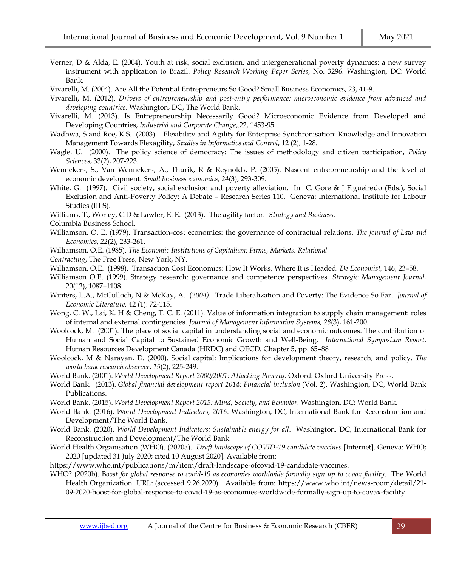- Verner, D & Alda, E. (2004). Youth at risk, social exclusion, and intergenerational poverty dynamics: a new survey instrument with application to Brazil. *Policy Research Working Paper Series*, No. 3296. Washington, DC: World Bank.
- Vivarelli, M. (2004). Are All the Potential Entrepreneurs So Good? Small Business Economics, 23, 41-9.
- Vivarelli, M. (2012). *Drivers of entrepreneurship and post-entry performance: microeconomic evidence from advanced and developing countries*. Washington, DC, The World Bank.
- Vivarelli, M. (2013). Is Entrepreneurship Necessarily Good? Microeconomic Evidence from Developed and Developing Countries, *Industrial and Corporate Change*,.22, 1453-95.
- Wadhwa, S and Roe, K.S. (2003). Flexibility and Agility for Enterprise Synchronisation: Knowledge and Innovation Management Towards Flexagility, *Studies in Informatics and Control*, 12 (2), 1-28.
- Wagle. U. (2000). The policy science of democracy: The issues of methodology and citizen participation, *Policy Sciences*, 33(2), 207-223.
- Wennekers, S., Van Wennekers, A., Thurik, R & Reynolds, P. (2005). Nascent entrepreneurship and the level of economic development. *Small business economics*, *24*(3), 293-309.
- White, G. (1997). Civil society, social exclusion and poverty alleviation, In C. Gore & J Figueiredo (Eds.), Social Exclusion and Anti-Poverty Policy: A Debate – Research Series 110. Geneva: International Institute for Labour Studies (IILS).
- Williams, T., Worley, C.D & Lawler, E. E. (2013). The agility factor. *Strategy and Business*.

Columbia Business School.

- Williamson, O. E. (1979). Transaction-cost economics: the governance of contractual relations. *The journal of Law and Economics*, *22*(2), 233-261.
- Williamson, O.E. (1985). *The Economic Institutions of Capitalism: Firms, Markets, Relational*
- *Contracting*, The Free Press, New York, NY.
- Williamson, O.E. (1998). Transaction Cost Economics: How It Works, Where It is Headed. *De Economist,* 146, 23–58.
- Williamson O.E. (1999). Strategy research: governance and competence perspectives. *Strategic Management Journal,*  20(12), 1087–1108*.*
- Winters, L.A., McCulloch, N & McKay, A. (*2004).* Trade Liberalization and Poverty: The Evidence So Far. *Journal of Economic Literature,* 42 (1): 72-115.
- Wong, C. W., Lai, K. H & Cheng, T. C. E. (2011). Value of information integration to supply chain management: roles of internal and external contingencies. *Journal of Management Information Systems*, *28*(3), 161-200.
- Woolcock, M. (2001). The place of social capital in understanding social and economic outcomes. The contribution of Human and Social Capital to Sustained Economic Growth and Well-Being. *International Symposium Report*. Human Resources Development Canada (HRDC) and OECD. Chapter 5, pp. 65–88
- Woolcock, M & Narayan, D. (2000). Social capital: Implications for development theory, research, and policy. *The world bank research observer*, *15*(2), 225-249.
- World Bank. (2001). *World Development Report 2000/2001: Attacking Poverty*. Oxford: Oxford University Press.
- World Bank. (2013). *Global financial development report 2014: Financial inclusion* (Vol. 2). Washington, DC, World Bank Publications.
- World Bank. (2015). *World Development Report 2015: Mind, Society, and Behavior*. Washington, DC: World Bank.
- World Bank. (2016). *World Development Indicators, 2016*. Washington, DC, International Bank for Reconstruction and Development/The World Bank.
- World Bank. (2020). *World Development Indicators: Sustainable energy for all*. Washington, DC, International Bank for Reconstruction and Development/The World Bank.
- World Health Organisation (WHO). (2020a). *Draft landscape of COVID-19 candidate vaccines* [Internet]. Geneva: WHO; 2020 [updated 31 July 2020; cited 10 August 2020]. Available from:
- https://www.who.int/publications/m/item/draft-landscape-ofcovid-19-candidate-vaccines.
- WHO? (2020b). B*oost for global response to covid-19 as economies worldwide formally sign up to covax facility*. The World Health Organization. URL: (accessed 9.26.2020). Available from: [https://www.who.int/news-room/detail/21-](https://www.who.int/news-room/detail/21-09-2020-boost-for-global-response-to-covid-19-as-economies-worldwide-formally-sign-up-to-covax-facility) [09-2020-boost-for-global-response-to-covid-19-as-economies-worldwide-formally-sign-up-to-covax-facility](https://www.who.int/news-room/detail/21-09-2020-boost-for-global-response-to-covid-19-as-economies-worldwide-formally-sign-up-to-covax-facility)